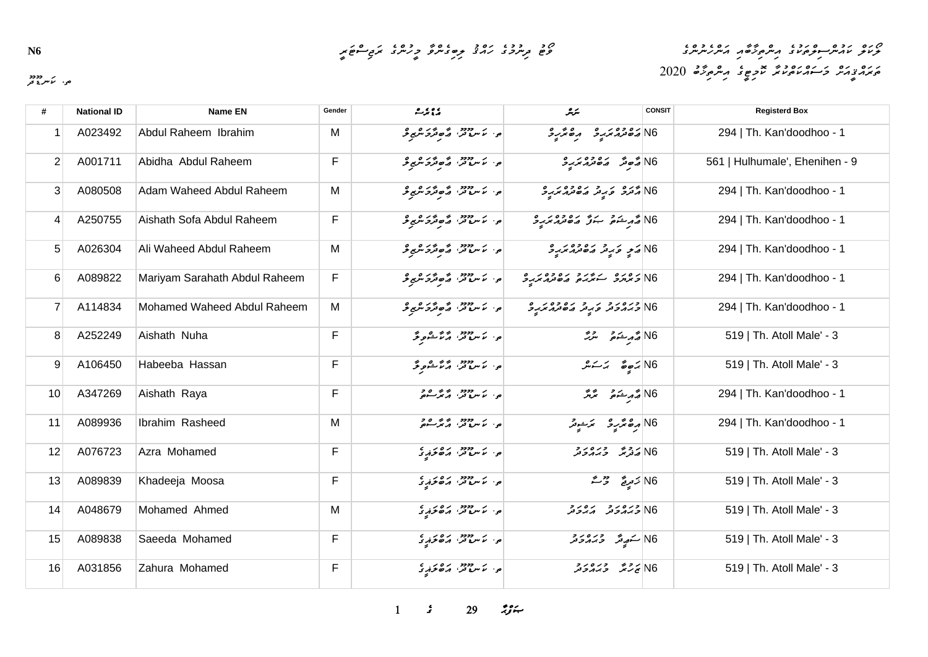*sCw7q7s5w7m< o<n9nOoAw7o< sCq;mAwBoEw7q<m; wBm;vB* م من المرة المرة المرة المرجع المرجع في المركبة 2020<br>مجم*د المريض المربوط المربع المرجع في المراجع المركبة* 

| #              | <b>National ID</b> | Name EN                       | Gender      | بروبره                                                                      |                                                   | <b>CONSIT</b> | <b>Registerd Box</b>           |
|----------------|--------------------|-------------------------------|-------------|-----------------------------------------------------------------------------|---------------------------------------------------|---------------|--------------------------------|
|                | A023492            | Abdul Raheem Ibrahim          | M           | ه شرور در در در در استان با باشد.<br>مستعمر استان بر باشده براستان بر باشد. | N6 בەممەترىر مەھمەر                               |               | 294   Th. Kan'doodhoo - 1      |
| $\overline{2}$ | A001711            | Abidha Abdul Raheem           | F           | ە سىس دەر ئەھەتگە ئىس ئى                                                    | N6 مَّ صِمَّر مَصْرَ مَرْسِرَ حَ                  |               | 561   Hulhumale', Ehenihen - 9 |
| 3              | A080508            | Adam Waheed Abdul Raheem      | M           | ە سىس دەر ئەھەتگە ئىس ئى                                                    | N6 ג <i>ېڅرو څېړنه په موډمربر</i> و               |               | 294   Th. Kan'doodhoo - 1      |
| $\overline{4}$ | A250755            | Aishath Sofa Abdul Raheem     | $\mathsf F$ | ه کاس دور در در در شرح گر                                                   | N6 مَّ مِ شَوَمَ سَوَرٌ مَرَه وَ مَرْسَرَ بِرَ وَ |               | 294   Th. Kan'doodhoo - 1      |
| 5              | A026304            | Ali Waheed Abdul Raheem       | M           | ە ئىس دور ئەھەر ئىس ئى                                                      | N6 בَ مِ حَ بِهِ تَهُ صَ <i>وَّهُ بَرَ بِ</i> وَ  |               | 294   Th. Kan'doodhoo - 1      |
| 6              | A089822            | Mariyam Sarahath Abdul Raheem | F           | ه کامرودو محافظ مرد من                                                      | N6 كرمهري مستعديه و معتبر مستعدد مستق             |               | 294   Th. Kan'doodhoo - 1      |
| $\overline{7}$ | A114834            | Mohamed Waheed Abdul Raheem   | M           | ە سىس دەر ئەھەتگە ئىس ئى                                                    | N6 دبره د د که په د ه مورد ترب                    |               | 294   Th. Kan'doodhoo - 1      |
| 8              | A252249            | Aishath Nuha                  | F           | ە ، ئاسلانل، مەنگ شەھ بۇ                                                    | N6 مَگْرِسْتَمْعْرِ مَرْتَهُ                      |               | 519   Th. Atoll Male' - 3      |
| 9              | A106450            | Habeeba Hassan                | F           | ە ، ئاس دەھرىم ئاس ئاھرىم                                                   | N6 يَهِ صَدَ بَر سَمَّر                           |               | 519   Th. Atoll Male' - 3      |
| 10             | A347269            | Aishath Raya                  | F           | ە بە ئەس دەرە بەر ئەر ئەرەر<br>ئەن ئەس ئەس ئەرگە ئىر ئىس                    | N6 مَدْمِ شَمَّعْ مَدَّمَّ                        |               | 294   Th. Kan'doodhoo - 1      |
| 11             | A089936            | Ibrahim Rasheed               | M           | ە بەس دەدە بەيدە 20                                                         | N6 مِر <i>ە مُرْرٍ وَ مَرَسْ</i> مِتْرَ           |               | 294   Th. Kan'doodhoo - 1      |
| 12             | A076723            | Azra Mohamed                  | F           | ه کامود ده ده د د                                                           | N6 كەنىرىگە بەر بەر بەر بەر                       |               | 519   Th. Atoll Male' - 3      |
| 13             | A089839            | Khadeeja Moosa                | $\mathsf F$ | وسأسمع فراكبه وكالمحافري                                                    | N6 زَمِرِيَّ تَرْتَّ                              |               | 519   Th. Atoll Male' - 3      |
| 14             | A048679            | Mohamed Ahmed                 | M           | ه کامودود ده د د                                                            | N6 32023 كرەرو                                    |               | 519   Th. Atoll Male' - 3      |
| 15             | A089838            | Saeeda Mohamed                | $\mathsf F$ | ه کامودود ده دره                                                            | N6 سَهِيعٌ حَمَدُ وَمَد                           |               | 519   Th. Atoll Male' - 3      |
| 16             | A031856            | Zahura Mohamed                | F           | ه کاسوود کاه دور                                                            | N6 يَرْبَرُّ وَبَرُودَوْرَ                        |               | 519   Th. Atoll Male' - 3      |

*1 s* 29 *i*<sub>s</sub> $\approx$ 

*r*<br>می. کامبر بچ <sub>قر</sub>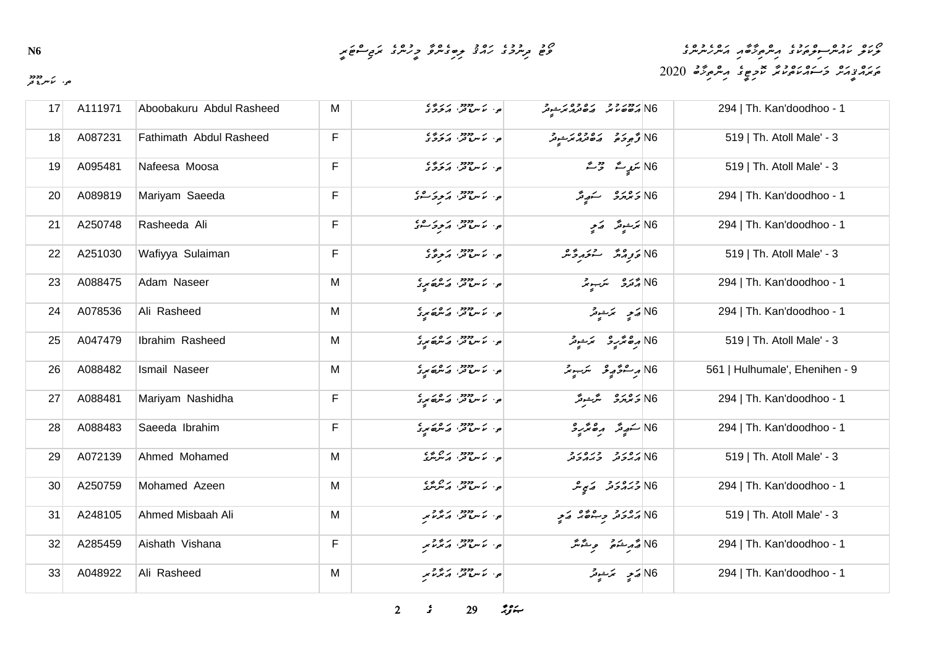*sCw7q7s5w7m< o<n9nOoAw7o< sCq;mAwBoEw7q<m; wBm;vB* م من المرة المرة المرة المرجع المرجع في المركبة 2020<br>مجم*د المريض المربوط المربع المرجع في المراجع المركبة* 

| 17 | A111971 | Aboobakuru Abdul Rasheed | M            | ه کامن دود. مرد و ه                  | N6دور در محمد محمد المحمد المحمد المحمد المحمد المحمد المحمد المحمد المحمد المحمد المحمد المحمد المح | 294   Th. Kan'doodhoo - 1      |
|----|---------|--------------------------|--------------|--------------------------------------|------------------------------------------------------------------------------------------------------|--------------------------------|
| 18 | A087231 | Fathimath Abdul Rasheed  | F            | ه کامودود کاره داده<br>د کامود کاروی | N6 ژ <sub>نجو</sub> ځ <i>و ماه مرم مر</i> شومر                                                       | 519   Th. Atoll Male' - 3      |
| 19 | A095481 | Nafeesa Moosa            | $\mathsf{F}$ | ه ۱۰ میلاد دره با                    | N6 سَمِي مَشَ حَرْمَتْہِ ا                                                                           | 519   Th. Atoll Male' - 3      |
| 20 | A089819 | Mariyam Saeeda           | $\mathsf{F}$ | ه ، کاسه دود. د کاموتر ده می         | N6 ئ <i>ەيدۇ سەمەت</i> گە                                                                            | 294   Th. Kan'doodhoo - 1      |
| 21 | A250748 | Rasheeda Ali             | F            | ه ، ئاس دود ، مرکز ده ،              | N6 مَرْحوثَر     رَمِ ٍ                                                                              | 294   Th. Kan'doodhoo - 1      |
| 22 | A251030 | Wafiyya Sulaiman         | $\mathsf F$  | ه کاسوی کروی                         | N6 <i>قۇمىگە</i> سى <i>خور جى</i> ر                                                                  | 519   Th. Atoll Male' - 3      |
| 23 | A088475 | Adam Naseer              | M            |                                      | N6 مُرْتَزَرْ مَرَسِوِيْرَ                                                                           | 294   Th. Kan'doodhoo - 1      |
| 24 | A078536 | Ali Rasheed              | M            | ه . ما موجود المرحوب .               | N6 كەمچە كەشپەتر                                                                                     | 294   Th. Kan'doodhoo - 1      |
| 25 | A047479 | Ibrahim Rasheed          | M            | ه کردود کردگر د                      | N6 م <i>وڭ مگرىي</i> ھار ئىسىمىتىكى كىل                                                              | 519   Th. Atoll Male' - 3      |
| 26 | A088482 | <b>Ismail Naseer</b>     | M            | والمستعمر المراكب                    | N6 م <sub>و</sub> سٹوگھری مگرسومگر                                                                   | 561   Hulhumale', Ehenihen - 9 |
| 27 | A088481 | Mariyam Nashidha         | $\mathsf F$  | وسأسوء والمركب والمراجع              | N6 كۆپرى گرىنونگر                                                                                    | 294   Th. Kan'doodhoo - 1      |
| 28 | A088483 | Saeeda Ibrahim           | F            | ه کاسوور کامری                       | N6 سَمرٍ مَّذَ مِنْ مِنْ مِنْ مِنْ الْمَدَّ                                                          | 294   Th. Kan'doodhoo - 1      |
| 29 | A072139 | Ahmed Mohamed            | M            | ه ۱۰ مترور د ۱۳۶۵<br>م سرد تر، مستر  | N6 كەبرى قىر ئەردىر                                                                                  | 519   Th. Atoll Male' - 3      |
| 30 | A250759 | Mohamed Azeen            | M            | ه کامن دود در ۱۳۶۵                   | N6 <i>3522 كەي ھى</i>                                                                                | 294   Th. Kan'doodhoo - 1      |
| 31 | A248105 | Ahmed Misbaah Ali        | M            | ه ، مأسود در محرماً مر               | N6 كەندى قىرىش <i>ەڭ كەي</i>                                                                         | 519   Th. Atoll Male' - 3      |
| 32 | A285459 | Aishath Vishana          | F            | ه ، مأس دود به برند و                | N6 گەرىشىق <sub>ە ھې</sub> شگىگر                                                                     | 294   Th. Kan'doodhoo - 1      |
| 33 | A048922 | Ali Rasheed              | M            | ه ۱۰ مترور در در د                   | N6 كەمچە كىرىش <sub>و</sub> ند                                                                       | 294   Th. Kan'doodhoo - 1      |

*2 sC 29 nNw?mS*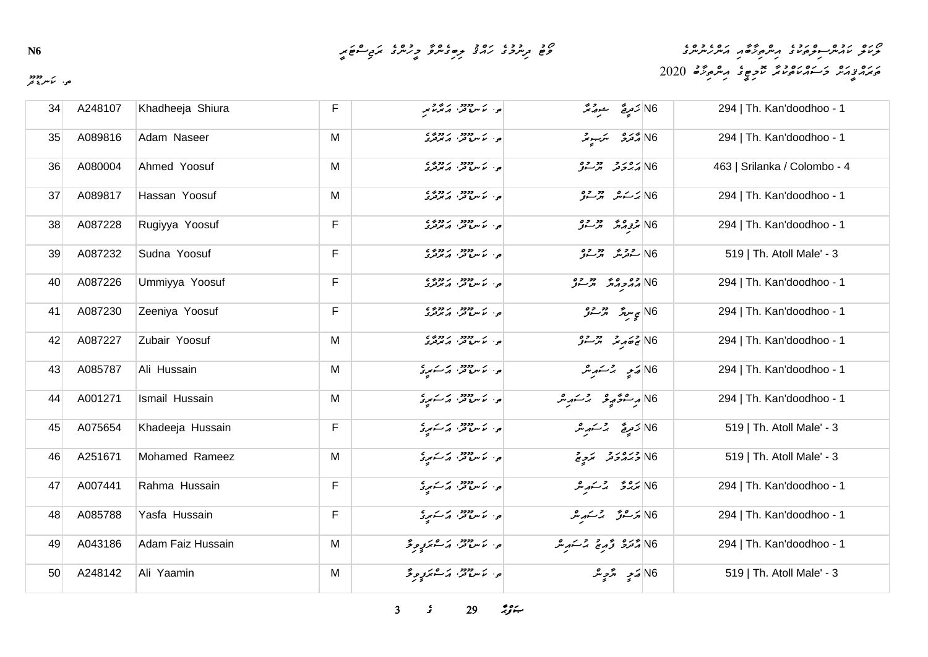*sCw7q7s5w7m< o<n9nOoAw7o< sCq;mAwBoEw7q<m; wBm;vB* م من المرة المرة المرة المرجع المرجع في المركبة 2020<br>مجم*د المريض المربوط المربع المرجع في المراجع المركبة* 

| 34 | A248107 | Khadheeja Shiura  | F            | ه تأمين قريبه برخر مريد                                   | N6 كَتَعْرِيَّةٌ مُصَوَّمَةٌ مُحَمَّدٌ | 294   Th. Kan'doodhoo - 1    |
|----|---------|-------------------|--------------|-----------------------------------------------------------|----------------------------------------|------------------------------|
| 35 | A089816 | Adam Naseer       | M            | ه ۱۰ کردود در دون د<br>ه اما میکانی ارتوبور               | N6 مُرْتَرَدُ - سَرَسِوِيْرَ           | 294   Th. Kan'doodhoo - 1    |
| 36 | A080004 | Ahmed Yoosuf      | M            | ק - מ' מדכר - מדיני ג'<br>קי - מ' ייתר בק' - ה' מדערב     | N6 كەبرى تەرىپى تۈرگىنى ئى             | 463   Srilanka / Colombo - 4 |
| 37 | A089817 | Hassan Yoosuf     | M            | ק - מ' מדרך - מרכישים<br>קידו - מ' מערך האינטרנטים        | N6 بَرسَتَ مَرْتَّقَرْ                 | 294   Th. Kan'doodhoo - 1    |
| 38 | A087228 | Rugiyya Yoosuf    | F            | ק - מ' משפח - דרימים<br>קי - מ' מעש רק מ' מ' משפח ברימים  | N6 بر <sub>تو</sub> ره پر مردو         | 294   Th. Kan'doodhoo - 1    |
| 39 | A087232 | Sudna Yoosuf      | $\mathsf F$  | ק - מ' מדרך - מרובי ג'<br>ק - מ' מעש רק מ' אז זמניק ג'    | N6 کے قریب <sub>ہ</sub> پڑتے تو        | 519   Th. Atoll Male' - 3    |
| 40 | A087226 | Ummiyya Yoosuf    | $\mathsf{F}$ | ם - מ' מדרך - מדרכים בי<br>ים - מ' מיטיבי - מ' מיטיבים בי | N6ج ۾ جي هيڪو هي.<br>16ج ۾ جي هي       | 294   Th. Kan'doodhoo - 1    |
| 41 | A087230 | Zeeniya Yoosuf    | F            | ם - מ' מדרך - מדרכים בי<br>ים - מ' מיטיבי - מ' מיטיבים בי | N6 <sub>مج</sub> سرتمر ترتسونر         | 294   Th. Kan'doodhoo - 1    |
| 42 | A087227 | Zubair Yoosuf     | M            |                                                           | N6 تح <i>قه بعد محمد من</i> ظر         | 294   Th. Kan'doodhoo - 1    |
| 43 | A085787 | Ali Hussain       | M            | ه به سر دوده به سنوری به                                  | N6 کی پر پر شہر میں<br>م               | 294   Th. Kan'doodhoo - 1    |
| 44 | A001271 | Ismail Hussain    | M            | ه ، ئاس دوده ، بر کشوری                                   | N6 م <i>ې</i> شۇمەتقى جەسەمبەتلەر      | 294   Th. Kan'doodhoo - 1    |
| 45 | A075654 | Khadeeja Hussain  | F            | ه ، ئاس دودو بر سکوری                                     | N6  كەيرىق    جاسەر بىر                | 519   Th. Atoll Male' - 3    |
| 46 | A251671 | Mohamed Rameez    | M            | ه ، ئاس دودر كه به سوري                                   | N6 <i>\$نەۋى ترىي</i>                  | 519   Th. Atoll Male' - 3    |
| 47 | A007441 | Rahma Hussain     | F            | ه ، ئاس دودو بر سکوری                                     | N6 تزيرى ب <sub>ە</sub> شىرىش          | 294   Th. Kan'doodhoo - 1    |
| 48 | A085788 | Yasfa Hussain     | F            | ه ۱۰ کاملاتی اور سومبری                                   | N6 يَرَسْوَرُ بِمَرْسَورِيْرَ          | 294   Th. Kan'doodhoo - 1    |
| 49 | A043186 | Adam Faiz Hussain | M            | ه ، ئاس دود. بر <u>م</u> ائروپوتو                         | N6 جۇيزۇ ئۇمەتق جاسكىرىنلە             | 294   Th. Kan'doodhoo - 1    |
| 50 | A248142 | Ali Yaamin        | M            | ە سىستەت ئەسىم <i>ۋە</i> ئە                               | N6 کی په گرچ مگر                       | 519   Th. Atoll Male' - 3    |

*3 <i><i>s s* **29**  $29$  *i*<sub>s</sub>

*r*<br>مي. كيسر <u>و</u>د ود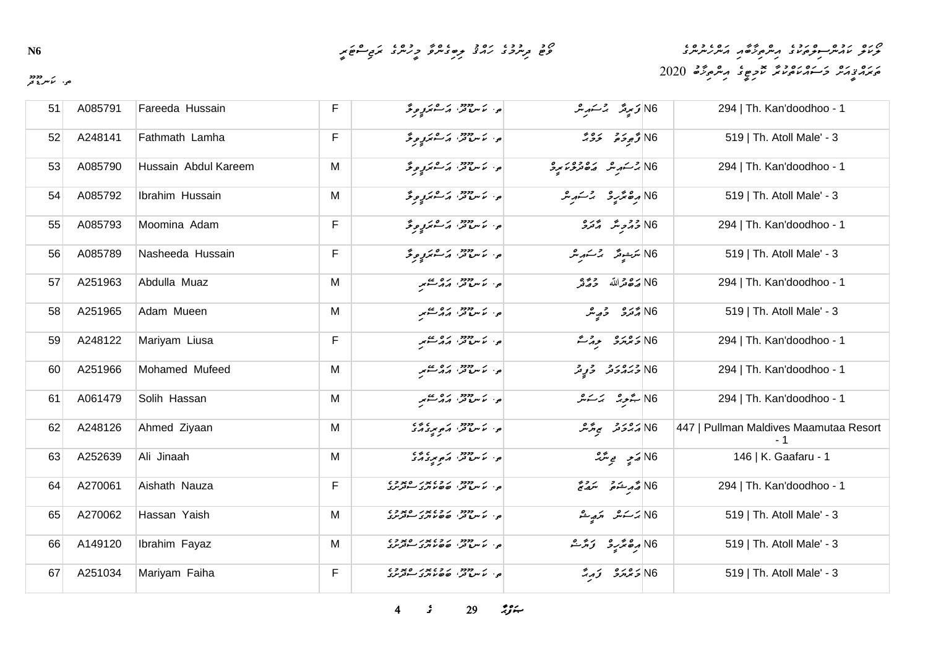*sCw7q7s5w7m< o<n9nOoAw7o< sCq;mAwBoEw7q<m; wBm;vB* م من المرة المرة المرة المرجع المرجع في المركبة 2020<br>مجم*د المريض المربوط المربع المرجع في المراجع المركبة* 

| 51 | A085791 | Fareeda Hussain      | F            | ە · ئاس "تر" ئەس <sup>ى</sup> ترى <sub>ر</sub> ى بەرگە                                                                                                                                                                           | N6 تزىرى <i>گە بۇستەپ بى</i> ر       | 294   Th. Kan'doodhoo - 1                     |
|----|---------|----------------------|--------------|----------------------------------------------------------------------------------------------------------------------------------------------------------------------------------------------------------------------------------|--------------------------------------|-----------------------------------------------|
| 52 | A248141 | Fathmath Lamha       | F            | ە ، ئاسابىر، ئەسەئزىرە ئ                                                                                                                                                                                                         | N6 وَّجِ حَقَّ حَرَّبَّہُ ۖ          | 519   Th. Atoll Male' - 3                     |
| 53 | A085790 | Hussain Abdul Kareem | M            | ە بەستىرى مەسىر <i>ۋە</i> ئە                                                                                                                                                                                                     | N6 يُر سَمبر شرح محمد حرم مردم بن    | 294   Th. Kan'doodhoo - 1                     |
| 54 | A085792 | Ibrahim Hussain      | M            | ە ئەس دەر.<br>مەنبەت كەستىرى                                                                                                                                                                                                     | N6 مەھم <i>گى</i> رو گەسكەملا        | 519   Th. Atoll Male' - 3                     |
| 55 | A085793 | Moomina Adam         | $\mathsf{F}$ | ە ، ئاسابىر، ئەسەئزىرە ئ                                                                                                                                                                                                         | N6ج پر پھر محمد الار الاقتصاد<br>16ج | 294   Th. Kan'doodhoo - 1                     |
| 56 | A085789 | Nasheeda Hussain     | $\mathsf F$  | ە ، ئاسابىر، ئەسەئزىرە ئ                                                                                                                                                                                                         | N6 ىترىيەنتر كەسكە <i>ر ىىگ</i> ر    | 519   Th. Atoll Male' - 3                     |
| 57 | A251963 | Abdulla Muaz         | M            | ه ۷ سره دود ده ده په                                                                                                                                                                                                             | N6 كەھىراللە ئەگەنىر                 | 294   Th. Kan'doodhoo - 1                     |
| 58 | A251965 | Adam Mueen           | M            | ه با سرود ده به سومبر                                                                                                                                                                                                            | N6 مُرْمَرْد تَرْمِيْرُ              | 519   Th. Atoll Male' - 3                     |
| 59 | A248122 | Mariyam Liusa        | F            | ه به سوده بره مه                                                                                                                                                                                                                 | N6 كانترنىڭ مەركىسىگە                | 294   Th. Kan'doodhoo - 1                     |
| 60 | A251966 | Mohamed Mufeed       | M            | ه که دود ده ده به                                                                                                                                                                                                                | N6 يُرَكْرُونَرْ - وُرِسْ            | 294   Th. Kan'doodhoo - 1                     |
| 61 | A061479 | Solih Hassan         | M            | ه ۱۰ مترود ده به سومبر<br>مسروس از در سومبر                                                                                                                                                                                      | N6 سەمەر تەسەر                       | 294   Th. Kan'doodhoo - 1                     |
| 62 | A248126 | Ahmed Ziyaan         | M            | ه کامودود که مردم ده                                                                                                                                                                                                             | N6 كەبرى قىر سى ئەرگىر               | 447   Pullman Maldives Maamutaa Resort<br>- 1 |
| 63 | A252639 | Ali Jinaah           | M            | ه کاملانی ارود در ۲۵۶۰ و ۲                                                                                                                                                                                                       | N6 <i>ڇَ جِي جُنَّ</i> دُ            | 146   K. Gaafaru - 1                          |
| 64 | A270061 | Aishath Nauza        | F            | ם - מרחב - מרכב מרכבים ביותר ביותר ביותר ביותר ביותר ביותר ביותר ביותר ביותר ביותר ביותר ביותר ביותר ביותר ביו<br>מסור ביותר ביותר ביותר ביותר ביותר ביותר ביותר ביותר ביותר ביותר ביותר ביותר ביותר ביותר ביותר ביותר ביותר ביו | N6 مُرمِسْمَعْ سَمْدَىَّ             | 294   Th. Kan'doodhoo - 1                     |
| 65 | A270062 | Hassan Yaish         | M            |                                                                                                                                                                                                                                  | N6 بَرَسَة مَر <sub>ْصِ</sub> تْهِ   | 519   Th. Atoll Male' - 3                     |
| 66 | A149120 | Ibrahim Fayaz        | M            | ה מוחכר מכנים ממידים ביותר ביותר ביותר ביותר ביותר ביותר ביותר ביותר ביותר ביותר ביותר ביותר ביותר ביותר ביותר<br>מודעות ביותר ביותר ביותר ביותר ביותר ביותר ביותר ביותר ביותר ביותר ביותר ביותר ביותר ביותר ביותר ביותר ביותר ב | N6 مەھەرىپە ئەمەت                    | 519   Th. Atoll Male' - 3                     |
| 67 | A251034 | Mariyam Faiha        | F            | ه به سرورو در و عدد راه مورد و د.<br>می امکان میل که می از این میلاد برای                                                                                                                                                        | N6 كانترنى توريد                     | 519   Th. Atoll Male' - 3                     |

*4 s* 29  $29$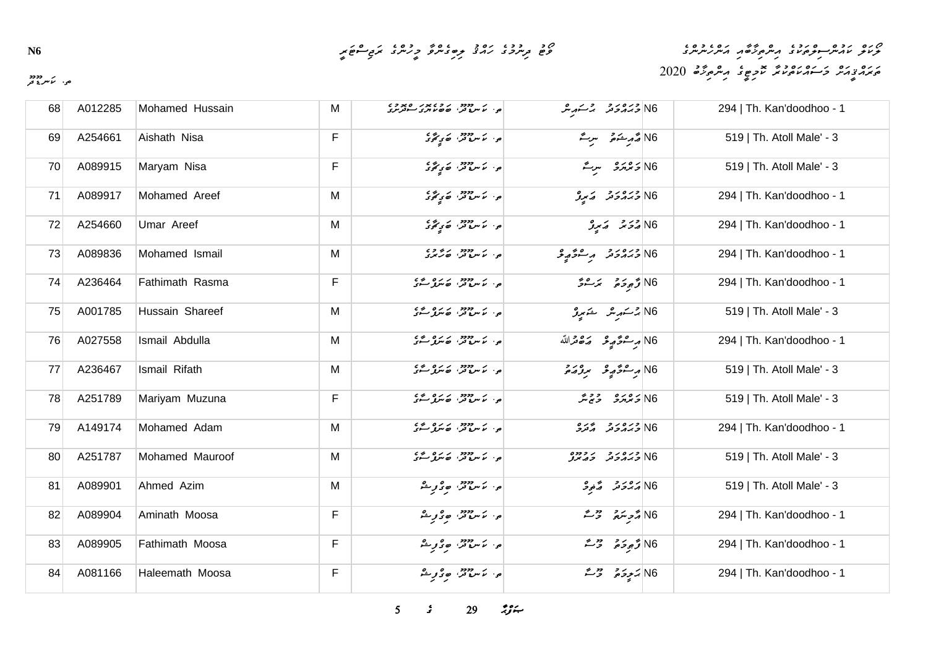*sCw7q7s5w7m< o<n9nOoAw7o< sCq;mAwBoEw7q<m; wBm;vB* م من المرة المرة المرة المرجع المرجع في المركبة 2020<br>مجم*د المريض المربوط المربع المرجع في المراجع المركبة* 

| 68 | A012285 | Mohamed Hussain   | M | י מודכר ממכנים מייחדים ביותר ביותר ביותר ביותר ביותר ביותר ביותר ביותר ביותר ביותר ביותר ביותר ביותר ביותר ביו<br>מודע ביותר ביותר ביותר ביותר ביותר ביותר ביותר ביותר ביותר ביותר ביותר ביותר ביותר ביותר ביותר ביותר ביותר ביו | N6 32025 كرمايل                                      | 294   Th. Kan'doodhoo - 1 |
|----|---------|-------------------|---|----------------------------------------------------------------------------------------------------------------------------------------------------------------------------------------------------------------------------------|------------------------------------------------------|---------------------------|
| 69 | A254661 | Aishath Nisa      | F | ه کامل دود.<br>ها کامل فران کام کامی کامی                                                                                                                                                                                        | N6 مُرمِشَعْ سِرْءٌ                                  | 519   Th. Atoll Male' - 3 |
| 70 | A089915 | Maryam Nisa       | F | ه کامل <sup>222</sup> ر کام کامل<br>ه کامل فران کام کامل                                                                                                                                                                         | N6 كەبۇرگە س <sub>ى</sub> گە                         | 519   Th. Atoll Male' - 3 |
| 71 | A089917 | Mohamed Areef     | M | ه که سرورد کرده<br>د که سرور که د کارگر                                                                                                                                                                                          | N6 3223 كەمب <sup>ى</sup> ر                          | 294   Th. Kan'doodhoo - 1 |
| 72 | A254660 | <b>Umar Areef</b> | M | ه کامل دود ده کامل کار د                                                                                                                                                                                                         | N6 چې په ټه پرو                                      | 294   Th. Kan'doodhoo - 1 |
| 73 | A089836 | Mohamed Ismail    | M | ه کردود ده ده<br>ه کامونو هرمرد                                                                                                                                                                                                  | N6 <i>جەممەتە</i> مەش <i>ۇم</i> ۇ                    | 294   Th. Kan'doodhoo - 1 |
| 74 | A236464 | Fathimath Rasma   | F | ه ۱۰ مترور دره پره<br>مسکون که سرگر                                                                                                                                                                                              | N6 رَّىمِ دَمَّةَ مَرَسْدَةَ ۖ                       | 294   Th. Kan'doodhoo - 1 |
| 75 | A001785 | Hussain Shareef   | M | ە . ئەسرەت ئەس ئەي                                                                                                                                                                                                               | N6 پرستمبر محمد مقدم پرو<br>معالجہ ستار میں مقدم پرو | 519   Th. Atoll Male' - 3 |
| 76 | A027558 | Ismail Abdulla    | M | ه ۱۰ مترس که ده وي.<br>د کاس تر، که سرگر سر                                                                                                                                                                                      | N6 م <i>وس<sup>ع</sup>وً موفر مرة م</i> قرالله       | 294   Th. Kan'doodhoo - 1 |
| 77 | A236467 | Ismail Rifath     | M |                                                                                                                                                                                                                                  | N6 <sub>م</sub> رعو <i>ڈ پو</i> ٹر مرزمہ             | 519   Th. Atoll Male' - 3 |
| 78 | A251789 | Mariyam Muzuna    | F | ە . ئەسرەت ئەنىرۇپ،                                                                                                                                                                                                              | N6 كەممەر 25 كەنگە                                   | 519   Th. Atoll Male' - 3 |
| 79 | A149174 | Mohamed Adam      | M | ه . کاس دود . دره د . د .<br>م . کاس و تر . کاس تر سوی                                                                                                                                                                           | N6 تر پروتر گرفری                                    | 294   Th. Kan'doodhoo - 1 |
| 80 | A251787 | Mohamed Mauroof   | M |                                                                                                                                                                                                                                  | N6 <i>جنہ جو جو جو جو م</i>                          | 519   Th. Atoll Male' - 3 |
| 81 | A089901 | Ahmed Azim        | M | ه ، ئاس دود. ھي وڪ                                                                                                                                                                                                               | N6 كەش <sup>ى</sup> رىقى گەنم <u>و</u> ى             | 519   Th. Atoll Male' - 3 |
| 82 | A089904 | Aminath Moosa     | F | ە ، ئەس دەر ئەھ ئۇي ھ                                                                                                                                                                                                            | N6 مَّ مِ سَمَّةٌ حَيْثَتُهُ مَنْ                    | 294   Th. Kan'doodhoo - 1 |
| 83 | A089905 | Fathimath Moosa   | F | ه کامرود هورځ                                                                                                                                                                                                                    | N6 رَّجِرَة حَيْثَة                                  | 294   Th. Kan'doodhoo - 1 |
| 84 | A081166 | Haleemath Moosa   | F | ە ، ئاس دەدە ھې ئولىش                                                                                                                                                                                                            | N6 بَر <i>ُمٍ دَيْرٍ وَ" سُ</i>                      | 294   Th. Kan'doodhoo - 1 |

 $5$   $\cancel{5}$   $29$   $\cancel{29}$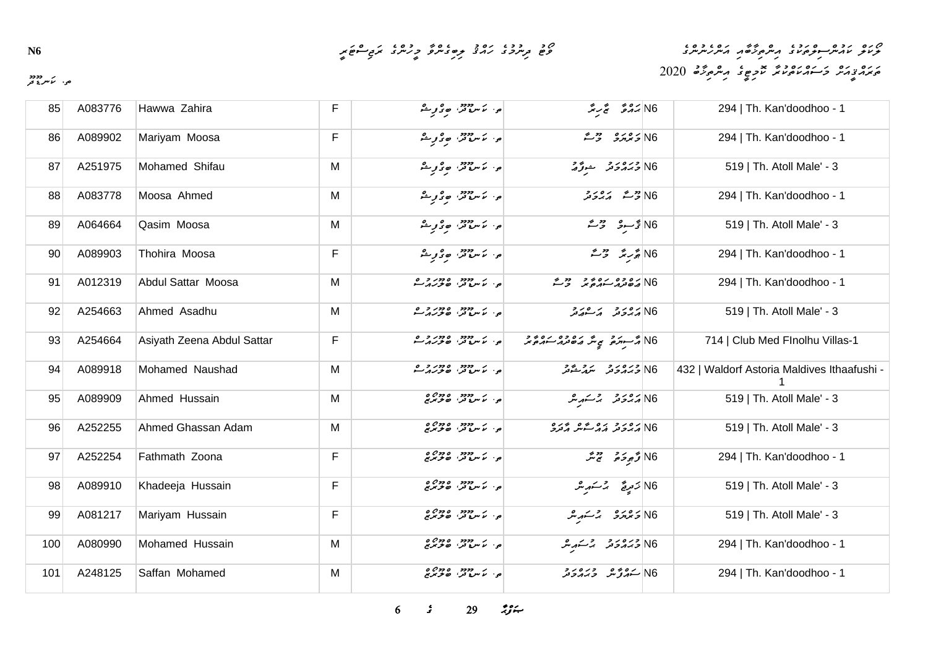*sCw7q7s5w7m< o<n9nOoAw7o< sCq;mAwBoEw7q<m; wBm;vB* م من المرة المرة المرة المرجع المرجع في المركبة 2020<br>مجم*د المريض المربوط المربع المرجع في المراجع المركبة* 

| 85  | A083776 | Hawwa Zahira               | F           | ه ، ئاس دود.<br>مستعمل السياسي                              | N6 ئەرمۇ ئ <sub>ى ئى</sub> رىتى                                                                   | 294   Th. Kan'doodhoo - 1                   |
|-----|---------|----------------------------|-------------|-------------------------------------------------------------|---------------------------------------------------------------------------------------------------|---------------------------------------------|
| 86  | A089902 | Mariyam Moosa              | F           | ه کامل دودو ه د و شک                                        | $23$ $22/16$                                                                                      | 294   Th. Kan'doodhoo - 1                   |
| 87  | A251975 | Mohamed Shifau             | M           | ه کامل دود.<br>مستعمل استعمال استاده کامل میشود که این مستق | $\frac{2}{3}$ $\frac{2}{3}$ $\frac{2}{3}$ $\frac{2}{3}$ $\frac{2}{3}$ $\frac{2}{3}$ $\frac{2}{3}$ | 519   Th. Atoll Male' - 3                   |
| 88  | A083778 | Moosa Ahmed                | M           | ه کاس دود ه د و ش                                           | N6 تير پر پر تر تر                                                                                | 294   Th. Kan'doodhoo - 1                   |
| 89  | A064664 | Qasim Moosa                | M           | ه کامل دودو ه د و شک                                        | N6 تۇسىۋە قۇشە                                                                                    | 519   Th. Atoll Male' - 3                   |
| 90  | A089903 | Thohira Moosa              | F           | ە ، ئاس دەدە ھې ئولىش                                       | N6 پُوَرِیَرْ وَمْ کَ                                                                             | 294   Th. Kan'doodhoo - 1                   |
| 91  | A012319 | Abdul Sattar Moosa         | M           | ם יי אייעציט פרידור פ                                       | $23.2228$ $\sim$ $82.228$ N6                                                                      | 294   Th. Kan'doodhoo - 1                   |
| 92  | A254663 | Ahmed Asadhu               | M           | ه کسی دوره در ده د                                          | N6 كەبروتىر كەسىھەتىر                                                                             | 519   Th. Atoll Male' - 3                   |
| 93  | A254664 | Asiyath Zeena Abdul Sattar | $\mathsf F$ | $0.2120$ $0.720$ $0.92$                                     | N6 م سوره به شهره وه مره به و                                                                     | 714   Club Med Flnolhu Villas-1             |
| 94  | A089918 | Mohamed Naushad            | M           | ه کسی در در ده در در د                                      | N6 دېرورو سمه شور                                                                                 | 432   Waldorf Astoria Maldives Ithaafushi - |
| 95  | A089909 | Ahmed Hussain              | M           | ק. ה' הרבר סבר 20<br>ק. ה' הרב ברי לי ברי ה                 | N6 كەبروتىر برىكىمبەش                                                                             | 519   Th. Atoll Male' - 3                   |
| 96  | A252255 | Ahmed Ghassan Adam         | M           | ק ני מזה סרכים<br>סי עיתונים יכיתים                         |                                                                                                   | 519   Th. Atoll Male' - 3                   |
| 97  | A252254 | Fathmath Zoona             | $\mathsf F$ | ם יי אייער פריאס                                            | N6 ۇَج <sub>و</sub> حَرْمَ تَجْتَمَرْ                                                             | 294   Th. Kan'doodhoo - 1                   |
| 98  | A089910 | Khadeeja Hussain           | F           | ק - קרקר סרכים<br>ק - קיית בקיים <del>ל</del> ביבים         | N6 كَتْمِيعٌ مَ يُسْتَمِرِ مُرْ                                                                   | 519   Th. Atoll Male' - 3                   |
| 99  | A081217 | Mariyam Hussain            | F           | ם יי מיתר סמים ס                                            | N6 كار محمد بر محمد بر المراجع السير المراجع                                                      | 519   Th. Atoll Male' - 3                   |
| 100 | A080990 | Mohamed Hussain            | M           | ק - קרקר סרקים<br>ק - עיתונים וביניה                        | N6 32028 كركوبر                                                                                   | 294   Th. Kan'doodhoo - 1                   |
| 101 | A248125 | Saffan Mohamed             | M           | ם יעשית הכבר הפריקים<br>ס יעשים ליישיביתים                  | N6 ئەرگە ئەرەبەر بەرگە                                                                            | 294   Th. Kan'doodhoo - 1                   |

 $6$   $3$   $29$   $29$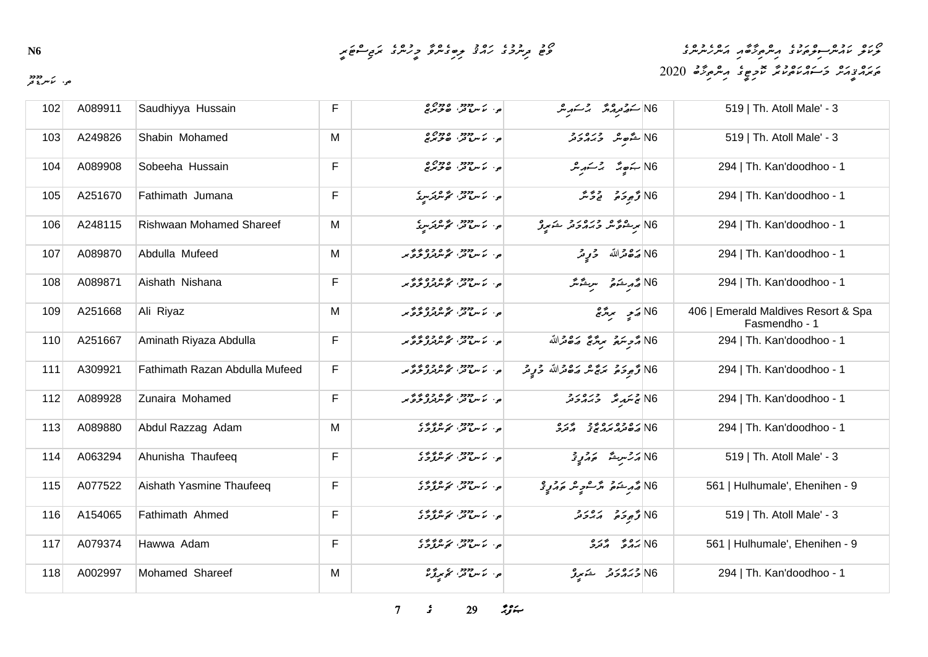*sCw7q7s5w7m< o<n9nOoAw7o< sCq;mAwBoEw7q<m; wBm;vB* م من المرة المرة المرة المرجع المرجع في المركبة 2020<br>مجم*د المريض المربوط المربع المرجع في المراجع المركبة* 

| 102 | A089911 | Saudhiyya Hussain               | F | ם יעית ככבי סכבים ס<br>ס יעית בני סיבינגים                                    | N6 س <i>َنْ مُدْمِدِهُ مَّہُ</i> مُسَمَّدِ مَ <i>رُ</i>            | 519   Th. Atoll Male' - 3                            |
|-----|---------|---------------------------------|---|-------------------------------------------------------------------------------|--------------------------------------------------------------------|------------------------------------------------------|
| 103 | A249826 | Shabin Mohamed                  | M | ק. קרקיקיקים פריקים<br>ק. קייקיקים ליידאיק                                    | N6 شَمْصِسْ دَبَرْدْدَتْر                                          | 519   Th. Atoll Male' - 3                            |
| 104 | A089908 | Sobeeha Hussain                 | F | ם יעשות הרבה סכר מס<br>ס יעשות המיט לא                                        | N6 جَم <i>ِيدٌ بِرْسَمْدِيْر</i>                                   | 294   Th. Kan'doodhoo - 1                            |
| 105 | A251670 | Fathimath Jumana                | F | ە · ئاس رودو ، ئۇ ئارلىرىسى                                                   | N6 <i>وَّجِحَمْ</i> يَحَمَّدُ                                      | 294   Th. Kan'doodhoo - 1                            |
| 106 | A248115 | <b>Rishwaan Mohamed Shareef</b> | M | ە · سىستى ئەھەر بىرىدىكى بىرىدا ئە                                            | N6 برىشۇش <i>دېرەرد</i> ئىي پو                                     | 294   Th. Kan'doodhoo - 1                            |
| 107 | A089870 | Abdulla Mufeed                  | M | ە . ئەسرەدە . ئەرەرە دەر.<br>مەس ئەس ئىس ئەسرى                                | N6 كەھەراللە ئ <i>ۇرى</i> ر                                        | 294   Th. Kan'doodhoo - 1                            |
| 108 | A089871 | Aishath Nishana                 | F | ہ کے محدود کی مرور ہے ہے۔<br>حی کا سرو تس کی سرتن ترکو شر                     | N6 مَی مِسْدَمَر سِرِسْدَمَّر                                      | 294   Th. Kan'doodhoo - 1                            |
| 109 | A251668 | Ali Riyaz                       | M | ر سر دود.<br>من سرس تر، کمچ سربولو بوی بر                                     | N6 ڪيو پي <i>رچ</i> ء                                              | 406   Emerald Maldives Resort & Spa<br>Fasmendho - 1 |
| 110 | A251667 | Aminath Riyaza Abdulla          | F | ه ۱۵۶۵ میلاد و ۲۵۶۵<br>ه ۱۷ من تراگی موتورتی و تر                             | N6 مَّ <i>حِ سَمَّۃُ مِہرَّجَ مَ</i> صْغَرِاللّٰہ                  | 294   Th. Kan'doodhoo - 1                            |
| 111 | A309921 | Fathimath Razan Abdulla Mufeed  | F |                                                                               | N6 تَ <i>جِ حَاجَ مَدَيَّ مَّن مَا هُ</i> مِّدَاللَّهُ حَفَّى مِنْ | 294   Th. Kan'doodhoo - 1                            |
| 112 | A089928 | Zunaira Mohamed                 | F | ە ·   ئەس <sup>رودە</sup> ئەھەدە بەيرى<br>مە     ئاس تىر   ئەس تىرتى توقى بىر | N6 يح <i>سَمبر بَرَّ حَ بَرُهُ وَ بَرْ</i>                         | 294   Th. Kan'doodhoo - 1                            |
| 113 | A089880 | Abdul Razzag Adam               | M | ه ۱۰ کمبر دودو در ۱۵۶۵<br>اما اما کمبر ترکیب کمبر کوری                        | N6 גם כס גם כב יכגם                                                | 294   Th. Kan'doodhoo - 1                            |
| 114 | A063294 | Ahunisha Thaufeeq               | F | ه ۱۰ کمبر دودد.<br>۲۰ کمبر سره ترکم شرکوری                                    | N6 كەڭ سوپىقى ھەكەب <sub>و</sub> تۇ                                | 519   Th. Atoll Male' - 3                            |
| 115 | A077522 | Aishath Yasmine Thaufeeq        | F | ه ۱۰ مترور ۱۵۶۶<br>۲۰ متس فرانگویس و ۲۶                                       |                                                                    | 561   Hulhumale', Ehenihen - 9                       |
| 116 | A154065 | Fathimath Ahmed                 | F | ه ۱۰ کمبر ۱۳۶۵<br>ه کامپرداز کامپروژ                                          | N6 رَّج <i>وحَة مَدْحَة</i> رُ                                     | 519   Th. Atoll Male' - 3                            |
| 117 | A079374 | Hawwa Adam                      | F | ه ۱۰ کمبر دودو در ۱۵۶۵<br>اما اما کمبر ترکیب کمبر کوری                        | $32.5$ $3.2$ $N6$                                                  | 561   Hulhumale', Ehenihen - 9                       |
| 118 | A002997 | Mohamed Shareef                 | M | ە ، ئاس دەدە ، ئابرۇن                                                         | N6 دُبَرْدْدَتْر خَمَيْرْ                                          | 294   Th. Kan'doodhoo - 1                            |

*7 sC 29 nNw?mS*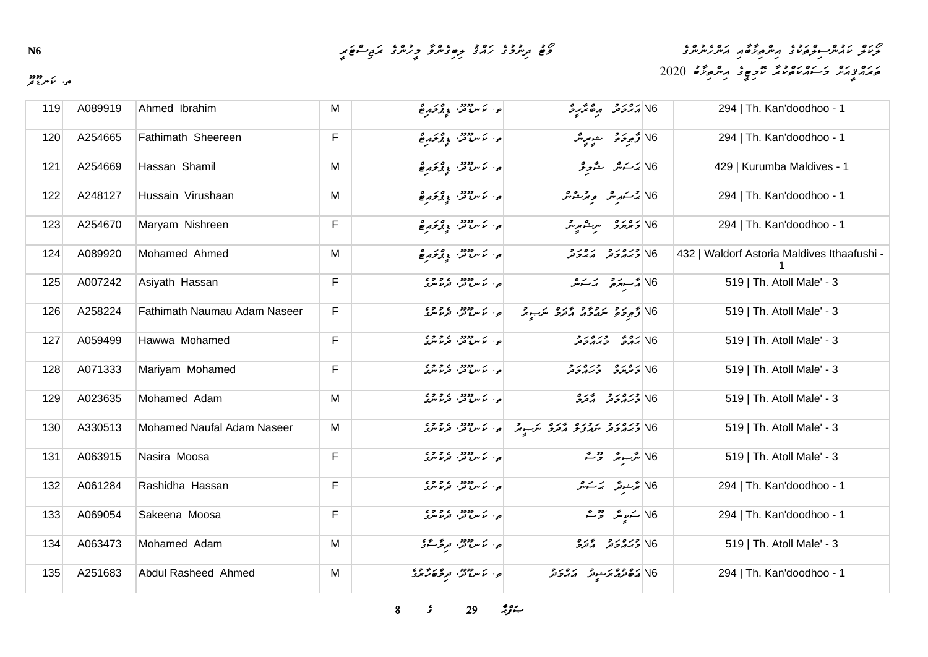*sCw7q7s5w7m< o<n9nOoAw7o< sCq;mAwBoEw7q<m; wBm;vB* م من المرة المرة المرة المرجع المرجع في المركبة 2020<br>مجم*د المريض المربوط المربع المرجع في المراجع المركبة* 

| 119 | A089919 | Ahmed Ibrahim                | M           | ه ، ئاستقىق ، بۇ ئۇ ئەھ                                                                                                                                                                                                          | N6 <i>גُ.څونه م</i> گلېږو                                                           | 294   Th. Kan'doodhoo - 1                   |
|-----|---------|------------------------------|-------------|----------------------------------------------------------------------------------------------------------------------------------------------------------------------------------------------------------------------------------|-------------------------------------------------------------------------------------|---------------------------------------------|
| 120 | A254665 | Fathimath Sheereen           | F           | ه ، ئاس دور ، و د دره                                                                                                                                                                                                            | N6 تَرْجُوحَا حَمَّ سِيَسِيْدُ                                                      | 294   Th. Kan'doodhoo - 1                   |
| 121 | A254669 | Hassan Shamil                | M           | و ، ئاس دور ، بالا دار ه                                                                                                                                                                                                         | N6   پرسکس گے۔<br>ج                                                                 | 429   Kurumba Maldives - 1                  |
| 122 | A248127 | Hussain Virushaan            | M           | أمن للمستعمر ويوري                                                                                                                                                                                                               | N6 يُرسَمبِ مَثَّر مِيزَ مِشَمَّسْر                                                 | 294   Th. Kan'doodhoo - 1                   |
| 123 | A254670 | Maryam Nishreen              | F           | أمن للمستعمر ويؤثرهم                                                                                                                                                                                                             | N6   <i>دیمہوڈ سربھ مریٹر</i>                                                       | 294   Th. Kan'doodhoo - 1                   |
| 124 | A089920 | Mohamed Ahmed                | M           | والمستعمل ورحمده                                                                                                                                                                                                                 | N6 <i>בُגُمُحَة مُدَوَّة.</i>                                                       | 432   Waldorf Astoria Maldives Ithaafushi - |
| 125 | A007242 | Asiyath Hassan               | F           | ه کسی دوود د د د د د د<br>ه کامی کامل کرد می                                                                                                                                                                                     | N6 م <i>جھ سورتی بر</i> ڪي <i>ر</i>                                                 | 519   Th. Atoll Male' - 3                   |
| 126 | A258224 | Fathimath Naumau Adam Naseer | F           |                                                                                                                                                                                                                                  | N6 تَهْجِعَةً مُهْتَمَةً مُهْرَفَ مُرْسِومٌ مَنْ مُسْتَمَرٍ مُنْ مُرْمَسِيَ         | 519   Th. Atoll Male' - 3                   |
| 127 | A059499 | Hawwa Mohamed                | F           | ه که ۱۶۶۲ ورو در در در این مرکز به این که است.<br>این که که کلی این مرکز مرکز برای که این که این که این که این که این که این که این که این که این که این که این                                                                  | N6 ئەشىھ مەيدە بەر د                                                                | 519   Th. Atoll Male' - 3                   |
| 128 | A071333 | Mariyam Mohamed              | F           | ه کسی دورد ده ده ده د                                                                                                                                                                                                            | N6 كەيمەر <i>2505 كە</i>                                                            | 519   Th. Atoll Male' - 3                   |
| 129 | A023635 | Mohamed Adam                 | M           | ه که ۱۶۶۳ وروبر<br>د کاملانی فرمانی                                                                                                                                                                                              | N6 <i>ڈیزو ڈی ڈیزو</i>                                                              | 519   Th. Atoll Male' - 3                   |
| 130 | A330513 | Mohamed Naufal Adam Naseer   | M           |                                                                                                                                                                                                                                  | N6د در در در دره به دره شهید و امن شود.<br>۱۲6د در در سروع مدره شهید امن شور در سرد | 519   Th. Atoll Male' - 3                   |
| 131 | A063915 | Nasira Moosa                 | $\mathsf F$ | ه که ۱۶۶۶ وروبر در در در این مرکز برای در این مرکز برای در این در این در این در این در این در این در این در ای<br>در این مرکز برای در این در این در این در این در این در این در این در این در این در این در این در این در این در | N6 تُرْسِعِدٌ     تُرْسَّدُ                                                         | 519   Th. Atoll Male' - 3                   |
| 132 | A061284 | Rashidha Hassan              | F           | ه کسی دوود د د د د د د<br>ه کامی کامل کرد می                                                                                                                                                                                     | N6 بَرْجِعَ بَرَسَمْرُ                                                              | 294   Th. Kan'doodhoo - 1                   |
| 133 | A069054 | Sakeena Moosa                | F           | ه کسی دورد ده ده ده د                                                                                                                                                                                                            | N6 سَرِیٹر ترجمۂ                                                                    | 294   Th. Kan'doodhoo - 1                   |
| 134 | A063473 | Mohamed Adam                 | M           | ه ، م <i>وسوده مرځ شي</i>                                                                                                                                                                                                        | N6 <i>3222 مح</i> مد                                                                | 519   Th. Atoll Male' - 3                   |
| 135 | A251683 | <b>Abdul Rasheed Ahmed</b>   | M           | ه ۷ کوده ورو ده.<br>د کاس تر افراده مرد                                                                                                                                                                                          | N6 كەھەركە <i>كەن كەن دە</i> ر ج                                                    | 294   Th. Kan'doodhoo - 1                   |

**8** *s* **29** *z s*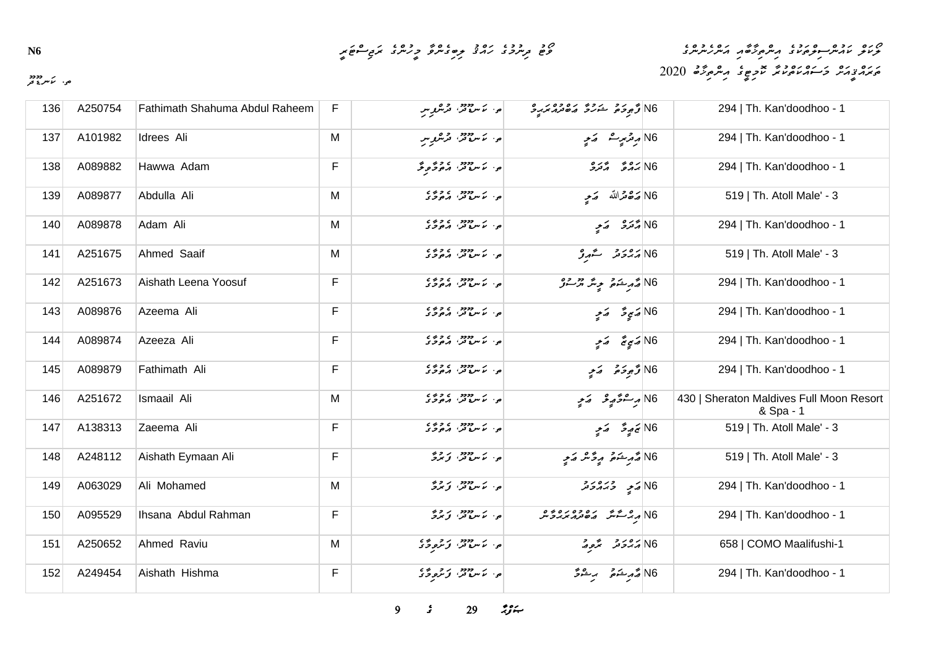*sCw7q7s5w7m< o<n9nOoAw7o< sCq;mAwBoEw7q<m; wBm;vB* م من المرة المرة المرة المرجع المرجع في المركبة 2020<br>مجم*د المريض المربوط المربع المرجع في المراجع المركبة* 

| $2222 - 2$<br>می - ماس خ در |
|-----------------------------|
|-----------------------------|

| 136 | A250754 | Fathimath Shahuma Abdul Raheem | $\mathsf{F}$ | ە ئەس <i>دەبەر بەر بىر</i> بىر           | N6 ژَجِرَة شَرَرَحَ رَه دَه بَرَ رَبِّ     | 294   Th. Kan'doodhoo - 1                             |
|-----|---------|--------------------------------|--------------|------------------------------------------|--------------------------------------------|-------------------------------------------------------|
| 137 | A101982 | Idrees Ali                     | M            | ە . ئاس ? قرانتى بىر بىر                 | N6 <sub>مر</sub> مزموے ک <i>ے ی</i> ے      | 294   Th. Kan'doodhoo - 1                             |
| 138 | A089882 | Hawwa Adam                     | $\mathsf F$  | ه ۱۵۶۵ ع وه ع                            | N6 يَرْدُوَّ بِرَّمَرَدُّ                  | 294   Th. Kan'doodhoo - 1                             |
| 139 | A089877 | Abdulla Ali                    | M            | ر دود دود ده.<br>من شرح تر، مرد د        | N6 كەڭداللە ك <i>ەي</i>                    | 519   Th. Atoll Male' - 3                             |
| 140 | A089878 | Adam Ali                       | M            | ه کردود دود ده<br>م کردن مورد            | N6 پژنرب <i>ی پ</i> َ پِ                   | 294   Th. Kan'doodhoo - 1                             |
| 141 | A251675 | Ahmed Saaif                    | M            | ه کردود دود ده<br>م کسی تر               | N6 كەندى ئىش سىمبىر ئى                     | 519   Th. Atoll Male' - 3                             |
| 142 | A251673 | Aishath Leena Yoosuf           | F            | ه کسی دود.<br>م کسی تر اموری             | N6 مَّەرِ شَمَّە مِرِ مَّرْ مَرْ سُورْ     | 294   Th. Kan'doodhoo - 1                             |
| 143 | A089876 | Azeema Ali                     | F            | ه کردود دوره<br>می کاس فران مرکزی        | N6 كەي <sub>ى</sub> ر كەم يە               | 294   Th. Kan'doodhoo - 1                             |
| 144 | A089874 | Azeeza Ali                     | $\mathsf{F}$ | د که دوده د د ده د<br>د کامل کرایم و د د | N6 <i>ھَي جَھ</i> صَمِي                    | 294   Th. Kan'doodhoo - 1                             |
| 145 | A089879 | Fathimath Ali                  | F            | ه کردود دود ده<br>م کردن مورد            | N6 <i>وَّجوحَ</i> هُمَ سَمَ اللهِ عَلَيْهِ | 294   Th. Kan'doodhoo - 1                             |
| 146 | A251672 | Ismaail Ali                    | M            | ه کردود دود ده<br>م کردن مورد            | N6 <sub>مر</sub> شت <i>ۇم</i> ىۋە كەمچ     | 430   Sheraton Maldives Full Moon Resort<br>& Spa - 1 |
| 147 | A138313 | Zaeema Ali                     | F            | ه کردود دود ده<br>م کردن مورد            | N6 تح م <i>ي</i> وً - م <i>کم</i> حي       | 519   Th. Atoll Male' - 3                             |
| 148 | A248112 | Aishath Eymaan Ali             | F            | ە ، ئەس دەپر دەپر                        | N6 مَّ مِ شَمَّ مِرَّ شَرْ مَرْمٍ          | 519   Th. Atoll Male' - 3                             |
| 149 | A063029 | Ali Mohamed                    | M            | ە ، ئەس دەپر دەپر                        | N6 كەي ئەممى ئەرىكىسى بىر 16               | 294   Th. Kan'doodhoo - 1                             |
| 150 | A095529 | Ihsana Abdul Rahman            | $\mathsf{F}$ | ه ۱۵۲۵ وروپه<br>د کاملانو ولاد           | N6 ری شش مقدم مرده می                      | 294   Th. Kan'doodhoo - 1                             |
| 151 | A250652 | Ahmed Raviu                    | M            | ه کامن دود. کام وی                       | N6 كەبرى قىر ئىگە ئىگە ئى                  | 658   COMO Maalifushi-1                               |
| 152 | A249454 | Aishath Hishma                 | $\mathsf{F}$ | ه کامن دود که ده کام                     | N6 مَّەرْ شَمَّ بِرْ شَمَّ                 | 294   Th. Kan'doodhoo - 1                             |

*9 s* 29  $29$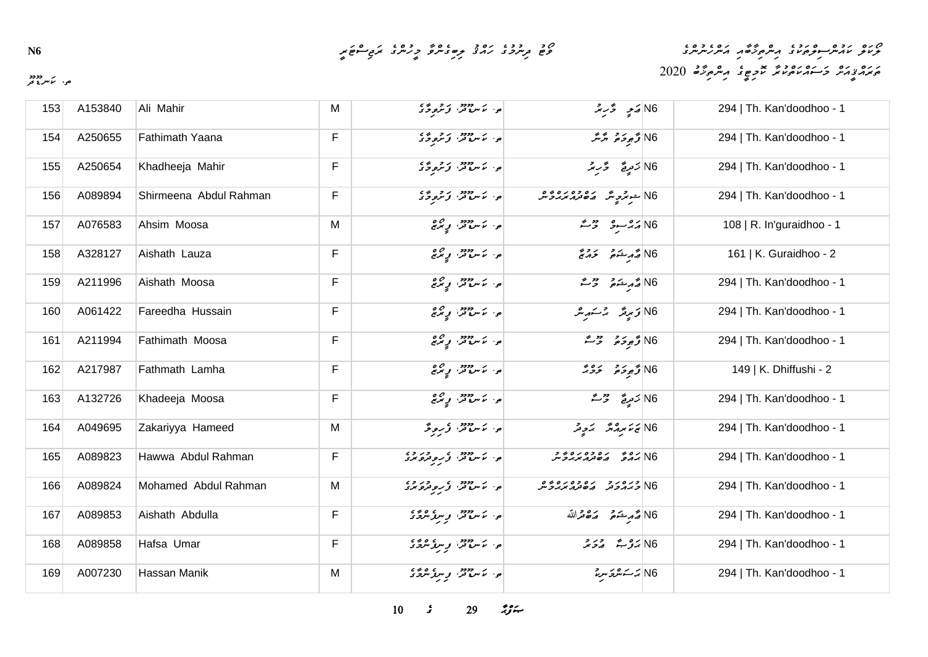*sCw7q7s5w7m< o<n9nOoAw7o< sCq;mAwBoEw7q<m; wBm;vB* م من المرة المرة المرة المرجع المرجع في المركبة 2020<br>مجم*د المريض المربوط المربع المرجع في المراجع المركبة* 

| 153 | A153840 | Ali Mahir              | M           | ه ، ئاس دود. ئەگرەۋگە                                                                                | N6 كەمچە - دۇرىتى                                 | 294   Th. Kan'doodhoo - 1 |
|-----|---------|------------------------|-------------|------------------------------------------------------------------------------------------------------|---------------------------------------------------|---------------------------|
| 154 | A250655 | Fathimath Yaana        | F           | ه که ۱۶۶۵ و د ده د                                                                                   | N6 <i>وَّجِ دَمَّةَ</i> مَرَّسَّرَ                | 294   Th. Kan'doodhoo - 1 |
| 155 | A250654 | Khadheeja Mahir        | F           | ه ، ئاس دودو ، می شود کار                                                                            | N6 كَتَمِيعٌ - قُرْبِتْرُ-                        | 294   Th. Kan'doodhoo - 1 |
| 156 | A089894 | Shirmeena Abdul Rahman | F           | ه کاموده کرده و د                                                                                    | N6 جېټر <i>و نگه ماه ده د دو</i> مر               | 294   Th. Kan'doodhoo - 1 |
| 157 | A076583 | Ahsim Moosa            | M           | ه ، ئاس دود.<br>مستعمل الوحمدي                                                                       | $23 - 22$ N6                                      | 108   R. In'guraidhoo - 1 |
| 158 | A328127 | Aishath Lauza          | $\mathsf F$ | ە ، ئاس دەر، بېرى                                                                                    | N6 مُرمِشَمُ حَرْمَةً                             | 161   K. Guraidhoo - 2    |
| 159 | A211996 | Aishath Moosa          | F           | ه ، ئاس دودو ، بولندی                                                                                | N6 مَّەمِسْمَعْ تَرْسَّمَّ                        | 294   Th. Kan'doodhoo - 1 |
| 160 | A061422 | Fareedha Hussain       | F           | ه ، مأس قريب هي هي الله عن الله عن الله عن الله عن الله عن الله عن الله عن الله عن الله عن الله عن ا | N6 ترىپەتر كەسىرىتر                               | 294   Th. Kan'doodhoo - 1 |
| 161 | A211994 | Fathimath Moosa        | $\mathsf F$ | ه ، مأس قرين توليمبرج                                                                                | N6 رَّجِ حَمَّ حَمَّـَّہُ                         | 294   Th. Kan'doodhoo - 1 |
| 162 | A217987 | Fathmath Lamha         | F           | ە ، ئاس دەرە ، بويىنى                                                                                | N6 وَجِعَة حَدَّثَ                                | 149   K. Dhiffushi - 2    |
| 163 | A132726 | Khadeeja Moosa         | $\mathsf F$ | ە ، ئاس دەرە ، بويىنى                                                                                | N6 كَتَوِيعٌ مَنْ شَدَّ                           | 294   Th. Kan'doodhoo - 1 |
| 164 | A049695 | Zakariyya Hameed       | M           | ە ، ئەس قرىم ئۇرۇغ                                                                                   | N6 يَرَ مَرِ مُدَمَّرٌ مَرْحِ مِّرْ               | 294   Th. Kan'doodhoo - 1 |
| 165 | A089823 | Hawwa Abdul Rahman     | F           | ه ۱۶۰۶ و دود.<br>اما که کلایی او موفرونوی                                                            | N6 دەپ رەمەدە دەپر                                | 294   Th. Kan'doodhoo - 1 |
| 166 | A089824 | Mohamed Abdul Rahman   | M           | ه ۱۶ مورود و در و در و در و د                                                                        | N6 دره رو دره ده دره در م                         | 294   Th. Kan'doodhoo - 1 |
| 167 | A089853 | Aishath Abdulla        | $\mathsf F$ | ه کامرود و مرکز مرد د                                                                                | N6 مَ <i>َّمْ بِشَمَّة مَنْ مََّ</i> مَّدَاللَّهُ | 294   Th. Kan'doodhoo - 1 |
| 168 | A089858 | Hafsa Umar             | $\mathsf F$ | ه که دوده وسره مورد                                                                                  | N6 بَرُوْبَہٗ پرْدَ پُر                           | 294   Th. Kan'doodhoo - 1 |
| 169 | A007230 | Hassan Manik           | M           | ه که دوده وسره ۲۵۵                                                                                   | N6 ئەسەملەرىمى <i>دى</i>                          | 294   Th. Kan'doodhoo - 1 |

*10 s* 29 *if*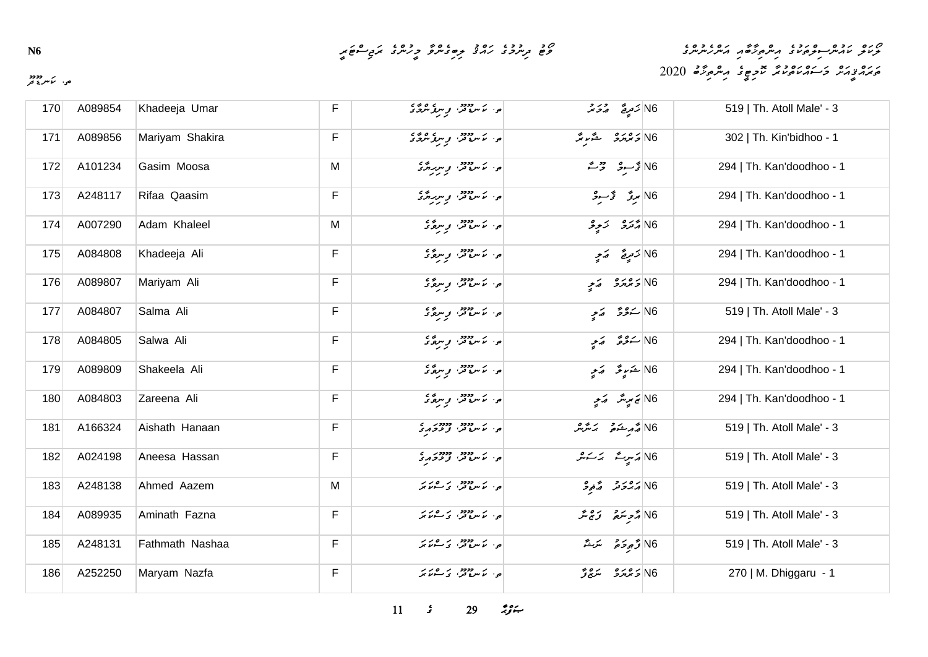*sCw7q7s5w7m< o<n9nOoAw7o< sCq;mAwBoEw7q<m; wBm;vB* م من المرة المرة المرة المرجع المرجع في المركبة 2020<br>مجم*د المريض المربوط المربع المرجع في المراجع المركبة* 

| 170 | A089854 | Khadeeja Umar   | F           | ە . ئەس <sup>33</sup> تر، <sub>تو</sub> سرىمى <i>رى</i> | N6 كَتَرِيعٌ - مُحَرَّمٌر       | 519   Th. Atoll Male' - 3 |
|-----|---------|-----------------|-------------|---------------------------------------------------------|---------------------------------|---------------------------|
| 171 | A089856 | Mariyam Shakira | F           | ه کامن دود.<br>د کامن فرا و مور مرد د                   | N6 كەنگەر ئىگە بىگە بىگە        | 302   Th. Kin'bidhoo - 1  |
| 172 | A101234 | Gasim Moosa     | M           | ه کامن دود و مرکزی                                      | N6 تۇسىۋە قۇشە                  | 294   Th. Kan'doodhoo - 1 |
| 173 | A248117 | Rifaa Qaasim    | F           | ه کامن دوده.<br>د کامن کل وسربرگری                      | N6 مرتمر گ <sup>ی</sup> سوئر    | 294   Th. Kan'doodhoo - 1 |
| 174 | A007290 | Adam Khaleel    | M           | ه ، ئاس دوده ، وسره دا                                  | N6 مَرْترو تر <i>وِ</i> و       | 294   Th. Kan'doodhoo - 1 |
| 175 | A084808 | Khadeeja Ali    | $\mathsf F$ | ه ، ئاس دودو. و سرگار                                   | N6 كَتَمِيعٌ      مَتَمَحٍ      | 294   Th. Kan'doodhoo - 1 |
| 176 | A089807 | Mariyam Ali     | F           | ە ، ئاس دەدە ، بەسۇلى                                   | N6 كانترنى كەمچ                 | 294   Th. Kan'doodhoo - 1 |
| 177 | A084807 | Salma Ali       | $\mathsf F$ | ه ، ئاس دودو.<br>مستعمل العربي المستعمر                 | N6 ڪري <sub>ه پ</sub>           | 519   Th. Atoll Male' - 3 |
| 178 | A084805 | Salwa Ali       | F           | ه ، ئاس دود.<br>مستعمر الموسيقى                         | N6 ڪوتر <sub>مک</sub> ر         | 294   Th. Kan'doodhoo - 1 |
| 179 | A089809 | Shakeela Ali    | F           | ه ، مأس دودو.<br>مستعمل المعروب المحمد المحمد           | N6 ڪ <sub>يو</sub> نڌ <i>چي</i> | 294   Th. Kan'doodhoo - 1 |
| 180 | A084803 | Zareena Ali     | $\mathsf F$ | ه ، ئاس دودو. و سرگار                                   | N6 تج سریٹر کرم پر              | 294   Th. Kan'doodhoo - 1 |
| 181 | A166324 | Aishath Hanaan  | F           | ه است دودو دودور است.<br>د است مرد و دارد و             | N6 م <i>ەمرىشقى بەيترىتر</i>    | 519   Th. Atoll Male' - 3 |
| 182 | A024198 | Aneesa Hassan   | $\mathsf F$ | ه که سرور دور د د                                       | N6 كەسرىسى كەسكەنلە             | 519   Th. Atoll Male' - 3 |
| 183 | A248138 | Ahmed Aazem     | M           | ەس ئەس دەھەر كەسلەتكە                                   | N6 كەش <sup>ى</sup> رى گەنبى    | 519   Th. Atoll Male' - 3 |
| 184 | A089935 | Aminath Fazna   | F           | ە ، ئاس دەدە ، ئەسەئلىر                                 | N6 مَّ حِ سَمَّة وَ تَحَ سَّرَ  | 519   Th. Atoll Male' - 3 |
| 185 | A248131 | Fathmath Nashaa | F           | ه ۱۵ کیلودو در ۱۵ در<br>اما کامل فراد کاملانی           | N6 تَرْجِرَحْمَ     سَرَحْهُ    | 519   Th. Atoll Male' - 3 |
| 186 | A252250 | Maryam Nazfa    | F           | ە ، ئاس دەس كەسىرىد                                     | N6 كەيرىرى سىنى تى              | 270   M. Dhiggaru - 1     |

 $11$  *s* 29  $29$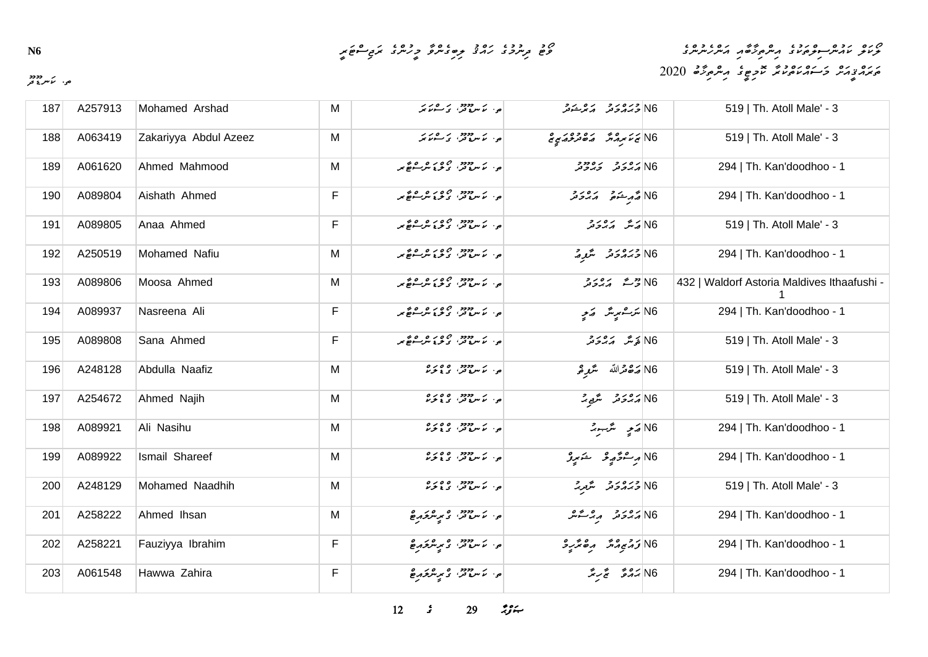*sCw7q7s5w7m< o<n9nOoAw7o< sCq;mAwBoEw7q<m; wBm;vB* م من المرة المرة المرة المرجع المرجع في المركبة 2020<br>مجم*د المريض المربوط المربع المرجع في المراجع المركبة* 

| 187 | A257913 | Mohamed Arshad        | M | ە ئەس <sup>ەدە</sup> ئەسىرىم                                                         | N6 <i>5223 كەنگى</i> تىگە                                                                                                     | 519   Th. Atoll Male' - 3                   |
|-----|---------|-----------------------|---|--------------------------------------------------------------------------------------|-------------------------------------------------------------------------------------------------------------------------------|---------------------------------------------|
| 188 | A063419 | Zakariyya Abdul Azeez | M | ەس ئەس ئەس ئەسىرىدىن                                                                 | $\frac{1}{2}$ א אל א משיני בא בירות השיני בין המודע המודע המודע המודע המודע המודע המודע המודע המודע המודע המודע המודע המודע ה | 519   Th. Atoll Male' - 3                   |
| 189 | A061620 | Ahmed Mahmood         | M | ە بەس دەھرەرە ھەر<br>مەن ئىس تىر، ئىملى ئىس جۇ ئىس                                   | N6 كەبرو بەرەدە د                                                                                                             | 294   Th. Kan'doodhoo - 1                   |
| 190 | A089804 | Aishath Ahmed         | F | ە بەس دەھرەرەرە ھەر<br>مەن ئەس تەقرى كوچ ئىرىسىۋە ئىر                                | N6 مُصِيَّعْ مَ <sup>ر</sup> ْدَدَ                                                                                            | 294   Th. Kan'doodhoo - 1                   |
| 191 | A089805 | Anaa Ahmed            | F | ر دودو می ده می شود.<br>می کاس فرا کی می کرد که می                                   | N6 پرنٹر پر بروٹر                                                                                                             | 519   Th. Atoll Male' - 3                   |
| 192 | A250519 | Mohamed Nafiu         | M | ه ۱۵ مرد دور ۱۵ ور ۱۵ ور در دیگر<br>اموار کامل کامل است کامل کرده که در است کامل کرد | N6 تر پر پی پی پی پی پی پی پی پی                                                                                              | 294   Th. Kan'doodhoo - 1                   |
| 193 | A089806 | Moosa Ahmed           | M | ه ۱۰ رودو ۱۵۷۵ ورو شهر<br>می تاس تر، نی می تاریخ مر                                  | N6 تخريقر بربردتر                                                                                                             | 432   Waldorf Astoria Maldives Ithaafushi - |
| 194 | A089937 | Nasreena Ali          | F | ە بە ئەدەم 200 مۇسىرە ئەرەسى ئەدەبىر.<br>مەن ئەس ئەترىكى تۈرۈشى ئەدەبىر              | N6 ىزر_مىيە ئەھ چە                                                                                                            | 294   Th. Kan'doodhoo - 1                   |
| 195 | A089808 | Sana Ahmed            | F | ە بەس دەھرەرەرە ھەر<br>مەن ئەس تەقرى كوچ ئىرىسىۋە ئىر                                | N6 ئۇىتر كەبر <i>ى</i> رىتر                                                                                                   | 519   Th. Atoll Male' - 3                   |
| 196 | A248128 | Abdulla Naafiz        | M | ه که ۱۵۵۶ وره<br>می که سره ترکی و ع                                                  | N6 كەھەراللە ش <i>ۇرۇ</i>                                                                                                     | 519   Th. Atoll Male' - 3                   |
| 197 | A254672 | Ahmed Najih           | M | ه که دوده ۱۵۵۵<br>م کامل فرا د ولولا                                                 | N6 كەش <sup>ى</sup> رىقى سگىرى                                                                                                | 519   Th. Atoll Male' - 3                   |
| 198 | A089921 | Ali Nasihu            | M | ر دودو 2000<br>می تأسیق کی تحریم                                                     | N6 کی پہ سگیبوبر                                                                                                              | 294   Th. Kan'doodhoo - 1                   |
| 199 | A089922 | <b>Ismail Shareef</b> | M | ە بەس دەھرە<br>مەن ئەس ئەر ئ                                                         | N6 مِرْ مُحَمَّدٍ مُحَمَّدٍ وَ                                                                                                | 294   Th. Kan'doodhoo - 1                   |
| 200 | A248129 | Mohamed Naadhih       | M | ه که ۱۵۵۶ وره<br>می که سره ترکی و ع                                                  | N6 3 <i>3 2 2 2 3 3 بر</i>                                                                                                    | 519   Th. Atoll Male' - 3                   |
| 201 | A258222 | Ahmed Ihsan           | M | و· ئاس دور و مر مرکز مربع                                                            | N6 كەبرى قىر مەرگەنگىر                                                                                                        | 294   Th. Kan'doodhoo - 1                   |
| 202 | A258221 | Fauziyya Ibrahim      | F | والمستعمر والمستعمر                                                                  |                                                                                                                               | 294   Th. Kan'doodhoo - 1                   |
| 203 | A061548 | Hawwa Zahira          | F | وكسرود والمتحديث                                                                     | N6 ئەيرقە ئىچ <i>رىت</i> ر                                                                                                    | 294   Th. Kan'doodhoo - 1                   |

*12 s* 29 *if*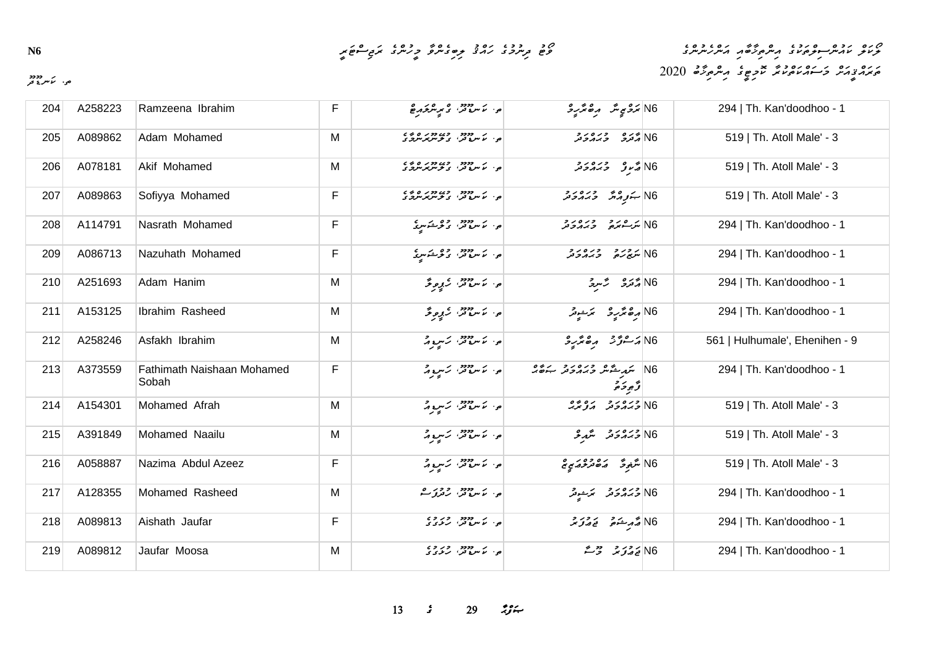*sCw7q7s5w7m< o<n9nOoAw7o< sCq;mAwBoEw7q<m; wBm;vB* م من المرة المرة المرة المرجع المرجع في المركبة 2020<br>مجم*د المريض المربوط المربع المرجع في المراجع المركبة* 

| 204 | A258223 | Ramzeena Ibrahim                    | F           | ه ۱۰ کامروز در محمد مرکز در هم                                    | N6 بَرَدْبِهِ مَّرْ مِنْ مِرْدِدْ                    | 294   Th. Kan'doodhoo - 1      |
|-----|---------|-------------------------------------|-------------|-------------------------------------------------------------------|------------------------------------------------------|--------------------------------|
| 205 | A089862 | Adam Mohamed                        | M           | י מי מדכב - 20 בבים הם הם<br>הם - מ' ייעש ביט - 2 בייט ביט בערב ב | N6 دُمَرَدَ دَبَہْرَمَہِ                             | 519   Th. Atoll Male' - 3      |
| 206 | A078181 | Akif Mohamed                        | M           | ه که ۱۶۶ ورو ورو ده<br>م که کولان د نومبر بروی                    | N6 جەرە جەيدى بول                                    | 519   Th. Atoll Male' - 3      |
| 207 | A089863 | Sofiyya Mohamed                     | F           | ه ۱۵ مود دره ۲۶۶ دره کار<br>د کاملانوا و توملامل                  | N6 ب <i>ەو</i> رىگە ئەيرىمىتىر                       | 519   Th. Atoll Male' - 3      |
| 208 | A114791 | Nasrath Mohamed                     | F           | ه ، کاسه دود و وحید اس                                            | N6 مَرْسْمَعْهُمْ حَمْدَ مَرْدَ                      | 294   Th. Kan'doodhoo - 1      |
| 209 | A086713 | Nazuhath Mohamed                    | $\mathsf F$ | ه . كم سره دور ده شكور كا                                         | N6 يَرْحِرُ حَمَدَ حَدِيثَةٍ حَمْدَ حَمَدَ           | 294   Th. Kan'doodhoo - 1      |
| 210 | A251693 | Adam Hanim                          | M           | ه ، ئاس دود. ئاپوه څه                                             | N6 مَرْتَرَدْ _ سَ <sup>حَد</sup> ِيرَ               | 294   Th. Kan'doodhoo - 1      |
| 211 | A153125 | Ibrahim Rasheed                     | м           | ە ، ئاس دەدە ، ئ <sub>ا</sub> پرىدۇ.                              | N6 مەھەر ئۇ سىمىسى ئىسىمىتىگە                        | 294   Th. Kan'doodhoo - 1      |
| 212 | A258246 | Asfakh Ibrahim                      | M           | ه ، ئاس دود. سرورته                                               | N6 كەسىرى ھەمگەرى                                    | 561   Hulhumale', Ehenihen - 9 |
| 213 | A373559 | Fathimath Naishaan Mohamed<br>Sobah | $\mathsf F$ | ه ، ئاس دود. سروره                                                | N6 سَمَدَ شَمَّسْ وَبَرُودَ وَ بَرَوْهِ<br>و گه بر د | 294   Th. Kan'doodhoo - 1      |
| 214 | A154301 | Mohamed Afrah                       | M           | ە ، ئاس دەدە ، ئەس د                                              | N6 تربره ترویز بر در محمد                            | 519   Th. Atoll Male' - 3      |
| 215 | A391849 | Mohamed Naailu                      | M           | ه ، سکسه دوده که سره م                                            | N6 دېم دېمر شمېر ع                                   | 519   Th. Atoll Male' - 3      |
| 216 | A058887 | Nazima Abdul Azeez                  | $\mathsf F$ | ه ، ئاس دودو كەس د                                                | N6 ئىنج <i>ۇ مەھىر دەنبى</i>                         | 519   Th. Atoll Male' - 3      |
| 217 | A128355 | Mohamed Rasheed                     | M           | ە . ئەس قرىر 2 قرىر 2                                             | N6 <i>\$ &gt; \$ \$ \$ \$ \$ \$ \$ \$</i>            | 294   Th. Kan'doodhoo - 1      |
| 218 | A089813 | Aishath Jaufar                      | F           | ه که ۱۶۶۵ وروه<br>مسکس کرد ک                                      | N6 مَّەرِ مَشَمَّى تَحَصَّرَ مَرَّ                   | 294   Th. Kan'doodhoo - 1      |
| 219 | A089812 | Jaufar Moosa                        | M           | ه که ۲۶۶۵ وروه<br>می که سره تش گروی                               | $23.32$ N6                                           | 294   Th. Kan'doodhoo - 1      |

*r*<br>مي. كيسر <u>و</u>د ود

 $13$  *s*  $29$  *n***<sub>s</sub>***n*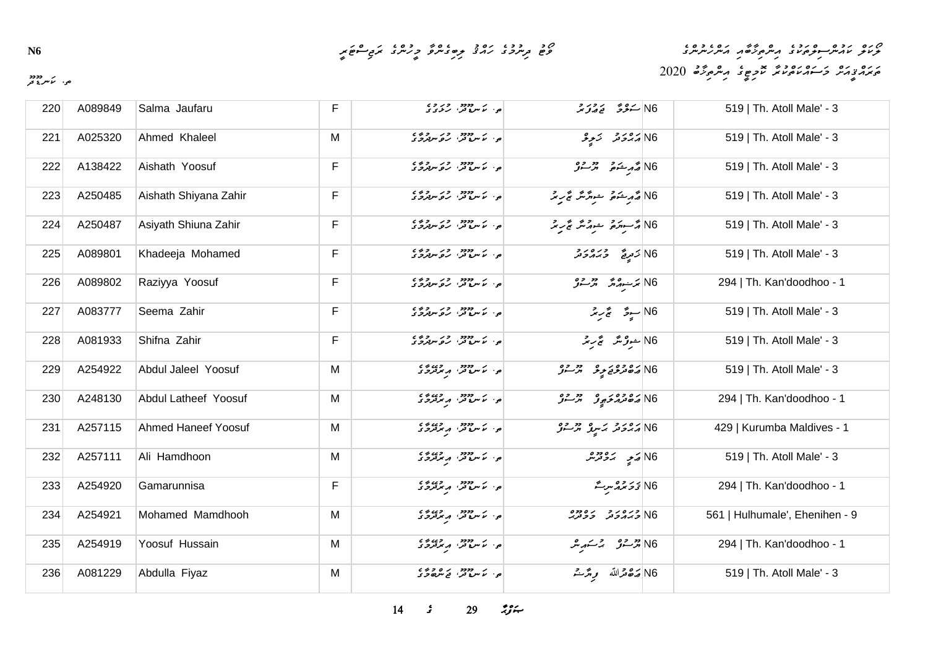*sCw7q7s5w7m< o<n9nOoAw7o< sCq;mAwBoEw7q<m; wBm;vB* م من المرة المرة المرة المرجع المرجع في المركبة 2020<br>مجم*د المريض المربوط المربع المرجع في المراجع المركبة* 

| 220 | A089849 | Salma Jaufaru              | F            | ه که ۱۶۶۶ وروه<br>د کاملانس گروی             | N6 كىۋۇ   يەۋىر                                            | 519   Th. Atoll Male' - 3      |
|-----|---------|----------------------------|--------------|----------------------------------------------|------------------------------------------------------------|--------------------------------|
| 221 | A025320 | Ahmed Khaleel              | M            | ه ۱۵۶۰ ور ده ده<br>م ۱۷۰۰ ور                 | N6 ټر <i>و</i> 5تر تر <i>ی</i> و                           | 519   Th. Atoll Male' - 3      |
| 222 | A138422 | Aishath Yoosuf             | F            | ه ۱۵۶۰ ور<br>مسکس در روس در در               | N6 گەم شىر قىم تەرىخى                                      | 519   Th. Atoll Male' - 3      |
| 223 | A250485 | Aishath Shiyana Zahir      | $\mathsf{F}$ | ه ۱۵۶۰ ور ده د.<br>م سرس د ا                 | N6 صَّەتْ مْسَوَّة مَّة سَمَّ سَمَّ سِمَّد                 | 519   Th. Atoll Male' - 3      |
| 224 | A250487 | Asiyath Shiuna Zahir       | F            | ه ۱۰ کمبر وي.<br>د کامونه لرگوموټرو ک        | N6 مُرْسِ <i>مَرْهْ</i> مُومِرْتُرْ تَ <sub>كْرَ</sub> يْر | 519   Th. Atoll Male' - 3      |
| 225 | A089801 | Khadeeja Mohamed           | $\mathsf{F}$ | ه ۱۵۶۰ ور ده ده<br>م ۱۷۰۰ ور                 | N6  تزمرِيعٌ - تركر مركز تر                                | 519   Th. Atoll Male' - 3      |
| 226 | A089802 | Raziyya Yoosuf             | $\mathsf{F}$ | ه ۱۵۶۰ ور ده ده<br>مسرعات روس                | N6 بَرَسُورْ بَرْ بِرْ مِنْ وَهِ                           | 294   Th. Kan'doodhoo - 1      |
| 227 | A083777 | Seema Zahir                | F            | ه ۱۵۶۵ ورود ور                               | N6 سوءً گچ پٽر                                             | 519   Th. Atoll Male' - 3      |
| 228 | A081933 | Shifna Zahir               | F            | ه ۱۰ کلوسو ور وه ده<br>د کلوسوس کوسهروی      | N6 ڪورشر گ <sub>ھ</sub> ريز                                | 519   Th. Atoll Male' - 3      |
| 229 | A254922 | Abdul Jaleel Yoosuf        | M            | ه ۷۰۰۰ دودو در دره ورا                       | N6 كەھەر <i>بو</i> جە بەر يەر بور                          | 519   Th. Atoll Male' - 3      |
| 230 | A248130 | Abdul Latheef Yoosuf       | M            | ه کامل ۶۶۵ وروپه ورو<br>د کامل کل از مرکز ور | N6 كەھەمگە ئۇي مەسىر                                       | 294   Th. Kan'doodhoo - 1      |
| 231 | A257115 | <b>Ahmed Haneef Yoosuf</b> | M            | ه کاموالان مردوری<br>ه کاموالان مردوری       | N6 كەندى كە ئەس كەن قرىسىز                                 | 429   Kurumba Maldives - 1     |
| 232 | A257111 | Ali Hamdhoon               | M            | ه ۷۰۰۰ دود.<br>د کاس تر از برتروی            | N6 كەبر بەدەندىر                                           | 519   Th. Atoll Male' - 3      |
| 233 | A254920 | Gamarunnisa                | F            | ه ۷۰۰۰ دود.<br>د کاس تر از برتروی            | N6 تۇترىمەسرىگە                                            | 294   Th. Kan'doodhoo - 1      |
| 234 | A254921 | Mohamed Mamdhooh           | M            | ه ۷۰۰۰ دود و دره و د                         | N6 32025 رەمدە                                             | 561   Hulhumale', Ehenihen - 9 |
| 235 | A254919 | Yoosuf Hussain             | M            | ه کاموالان مرکزده و                          |                                                            | 294   Th. Kan'doodhoo - 1      |
| 236 | A081229 | Abdulla Fiyaz              | M            | ہ کا سرور دی دہ ہ<br>مسلمان کو سرحان         | N6 كەھەراللە م <sub>و</sub> مگرىشە                         | 519   Th. Atoll Male' - 3      |

*14 s* 29 *if*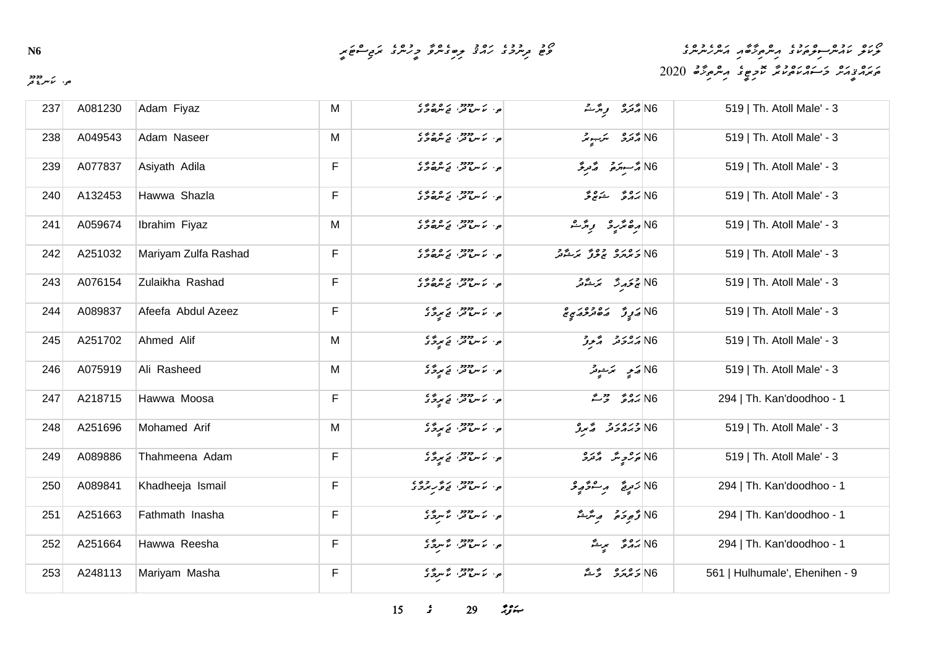*sCw7q7s5w7m< o<n9nOoAw7o< sCq;mAwBoEw7q<m; wBm;vB* م من المرة المرة المرة المرجع المرجع في المركبة 2020<br>مجم*د المريض المربوط المربع المرجع في المراجع المركبة* 

| 237 | A081230 | Adam Fiyaz           | M            | ہی کہ سرور دی دی۔<br>می کہ سروفر) کے سر <i>ھ و</i> ی                                     | N6 گەنگرى بوگرىشە                                                                                                       | 519   Th. Atoll Male' - 3      |
|-----|---------|----------------------|--------------|------------------------------------------------------------------------------------------|-------------------------------------------------------------------------------------------------------------------------|--------------------------------|
| 238 | A049543 | Adam Naseer          | M            | ه ۷ مورد در ۱۶۶۵<br>د کامونان فامره ور                                                   | N6 مُرْتَرَدُ - سَرَسِوِيْرَ                                                                                            | 519   Th. Atoll Male' - 3      |
| 239 | A077837 | Asiyath Adila        | F            | ه که دوده ده وه وه.<br>م که کلان فره ور                                                  | N6 مُرْسِ <i>مَرْهُ مُ</i> تَّعِرِمُّ                                                                                   | 519   Th. Atoll Male' - 3      |
| 240 | A132453 | Hawwa Shazla         | $\mathsf{F}$ | ہ کے دوود کے مرکز والات<br>می کا سرح قرار کے مترک والات                                  | $\mathcal{Z}^o \mathcal{Z}^o \longrightarrow \mathcal{Z}^o \longrightarrow \mathcal{Z}^o \longrightarrow \mathcal{Z}^o$ | 519   Th. Atoll Male' - 3      |
| 241 | A059674 | Ibrahim Fiyaz        | M            | ہ کسی دوووں ہے جو دی۔<br>می کسی فرانس کے سرح دی                                          | N6 بر <i>ەنگەر ۋىرىۋى</i> شە                                                                                            | 519   Th. Atoll Male' - 3      |
| 242 | A251032 | Mariyam Zulfa Rashad | F            | ہ کے دوووں کی واقعے کا مقامت ہے۔<br>اس کے مسائل کی مقامت کی تعلیم کے مقامت کی تعلیم کے ک | N6 كەيمەرە موگر ئىشكىر                                                                                                  | 519   Th. Atoll Male' - 3      |
| 243 | A076154 | Zulaikha Rashad      | F            | ه ۷۰۰۰ در دور<br>م کارون فاکر ورو                                                        | N6 يح <i>قرم بم تحريد فقر</i>                                                                                           | 519   Th. Atoll Male' - 3      |
| 244 | A089837 | Afeefa Abdul Azeez   | F            | ه کامن دود کام ده کا                                                                     | N6 <i>ھَ پِي گَهُ مُ</i> ھُ <i>مُرْحَمَّة بِي جُ</i>                                                                    | 519   Th. Atoll Male' - 3      |
| 245 | A251702 | Ahmed Alif           | M            | ه کامن دود کام ده کا                                                                     | N6 كەنزى قىرىقى ئىچە ئى                                                                                                 | 519   Th. Atoll Male' - 3      |
| 246 | A075919 | Ali Rasheed          | M            | ه کامن دود کام ده کا                                                                     | N6 كەمچە كەشى <i>يەت</i> گە                                                                                             | 519   Th. Atoll Male' - 3      |
| 247 | A218715 | Hawwa Moosa          | $\mathsf F$  | ه ، کاس دود کام کام دی                                                                   | $23$ $52$ N6                                                                                                            | 294   Th. Kan'doodhoo - 1      |
| 248 | A251696 | Mohamed Arif         | M            | ه ، کاس دود کام کرد کا                                                                   | N6 تر پروت گريز گريز                                                                                                    | 519   Th. Atoll Male' - 3      |
| 249 | A089886 | Thahmeena Adam       | $\mathsf F$  | ه ، کاس دود کام کرد کا                                                                   | N6 ك <sup>ې</sup> رتوپىگە م <i>گەنگ</i> ى                                                                               | 519   Th. Atoll Male' - 3      |
| 250 | A089841 | Khadheeja Ismail     | F            | ه کاملانی فاقر دولا                                                                      | N6 كَتَمِيعٌ - مِرْ مُتَّخَمِيكَ                                                                                        | 294   Th. Kan'doodhoo - 1      |
| 251 | A251663 | Fathmath Inasha      | F            | ە ئەس دەر.<br>مەن ئەس ئەس ئەس <i>ب</i> ورى                                               | N6 رَّج <i>وحَۃ م</i> ِسَّرْتَۃ                                                                                         | 294   Th. Kan'doodhoo - 1      |
| 252 | A251664 | Hawwa Reesha         | $\mathsf F$  | وسأس ودور الأسروري                                                                       | N6 <i>بَدُوءٌ</i> مِيشً                                                                                                 | 294   Th. Kan'doodhoo - 1      |
| 253 | A248113 | Mariyam Masha        | F            | ە ئەس دەر.<br>مەن ئەس ئەس ئەس <i>ب</i> ورى                                               | $2.5$ $3.25$ $N6$                                                                                                       | 561   Hulhumale', Ehenihen - 9 |

 $15$  *s*  $29$  *n***<sub>s</sub>** $\frac{2}{5}$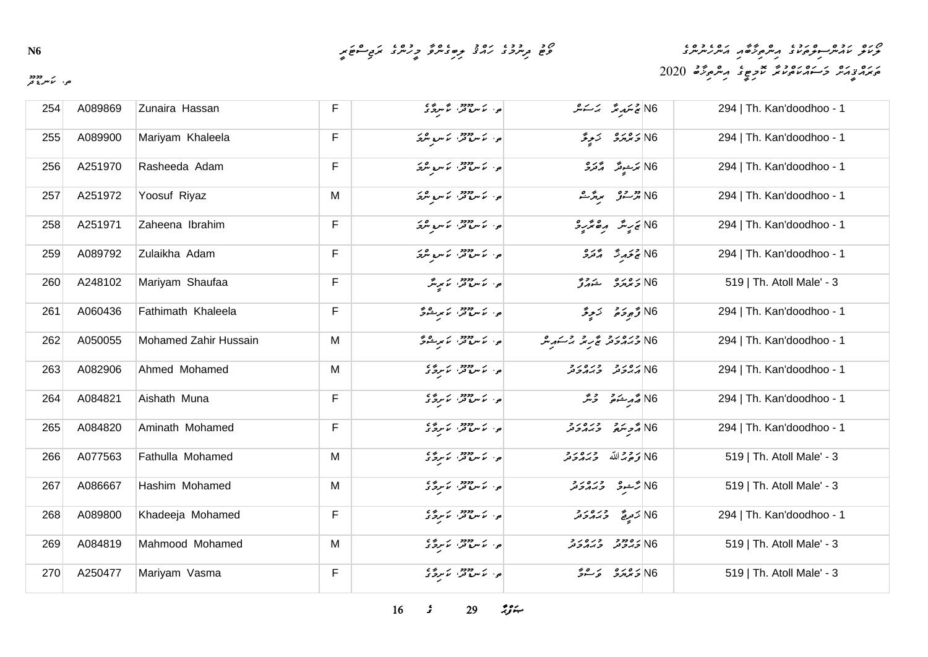*sCw7q7s5w7m< o<n9nOoAw7o< sCq;mAwBoEw7q<m; wBm;vB* م من المسجد المسجد المسجد المسجد المسجد العام 2020<br>مسجد المسجد المسجد المسجد المسجد المسجد المسجد المسجد المسجد ال

| 254 | A089869 | Zunaira Hassan        | F            | ە ، ئاس دەر ئاسرىگى                   | N6 يح <i>سَمدٍ بمَّتَ بِرَ سَمَ</i> سُ | 294   Th. Kan'doodhoo - 1 |
|-----|---------|-----------------------|--------------|---------------------------------------|----------------------------------------|---------------------------|
| 255 | A089900 | Mariyam Khaleela      | $\mathsf{F}$ | ه کامن دود کامن مگر                   | N6 كاير برنو ترمي تركي                 | 294   Th. Kan'doodhoo - 1 |
| 256 | A251970 | Rasheeda Adam         | $\mathsf F$  | ه ، كاسده قراء كاسده شركته            | N6 بَرَحْدٍ مَّذَ مَرْدَدُ ا           | 294   Th. Kan'doodhoo - 1 |
| 257 | A251972 | Yoosuf Riyaz          | M            | ه با سرود استفراد با سره بارد کار     | N6 ترقیق مرتمر شه                      | 294   Th. Kan'doodhoo - 1 |
| 258 | A251971 | Zaheena Ibrahim       | $\mathsf F$  | ه ، كاسده قراء كاسده شركته            | N6 ئۈپ ئىر مەھم <i>گەپ</i> ۇ           | 294   Th. Kan'doodhoo - 1 |
| 259 | A089792 | Zulaikha Adam         | $\mathsf F$  | ه کامن دود کامن مگر                   | N6 يح <i>قرقر ج</i> م محمد تحريحه      | 294   Th. Kan'doodhoo - 1 |
| 260 | A248102 | Mariyam Shaufaa       | F            | ە، ئاس دەم ئوسىگە                     | N6 كار بروتر متركز                     | 519   Th. Atoll Male' - 3 |
| 261 | A060436 | Fathimath Khaleela    | $\mathsf F$  | ە ، ئاس دەرە ئامرىشى گە               | N6 وَّجِ دَمَّۃٌ دَمِيْتَر             | 294   Th. Kan'doodhoo - 1 |
| 262 | A050055 | Mohamed Zahir Hussain | M            | ه ، ئاس دود. ئامرىشى                  | N6 دېمگرو ځريز برختم هم                | 294   Th. Kan'doodhoo - 1 |
| 263 | A082906 | Ahmed Mohamed         | M            | ه کاملاتی کامروی                      | N6 كەبرو مەمەمەدە بەر                  | 294   Th. Kan'doodhoo - 1 |
| 264 | A084821 | Aishath Muna          | $\mathsf F$  | ه کاملاتی کامروی                      | N6 مَگْرِسْتَمْ وَسَمَّ                | 294   Th. Kan'doodhoo - 1 |
| 265 | A084820 | Aminath Mohamed       | $\mathsf{F}$ | ه ، ئاس دود. ئابروسی                  | N6 مَّحْمِسَمْ وَيَرْمُدَوْرَ          | 294   Th. Kan'doodhoo - 1 |
| 266 | A077563 | Fathulla Mohamed      | M            | ه کامل دود.<br>مستعمل کامل دی         | N6 وَحْدَاللّه وَبَرْمُ وَمَدْ         | 519   Th. Atoll Male' - 3 |
| 267 | A086667 | Hashim Mohamed        | M            | ه ، کاس دود.<br>مسلمان قرار کامبردگار | N6 جُسْوِءٌ وَيَرْدُوَنْدُ             | 519   Th. Atoll Male' - 3 |
| 268 | A089800 | Khadeeja Mohamed      | F            | ه کامل دود که کامل کامل               | N6 كتريقً كالكارونير                   | 294   Th. Kan'doodhoo - 1 |
| 269 | A084819 | Mahmood Mohamed       | M            | ه کامن دود که مورد و                  | N6 <i>ق</i> روبو ورەرو                 | 519   Th. Atoll Male' - 3 |
| 270 | A250477 | Mariyam Vasma         | F            | ه کاملاتی کامروی                      | $3.25$ $3.25$ N6                       | 519   Th. Atoll Male' - 3 |

 $16$  *s* 29  $29$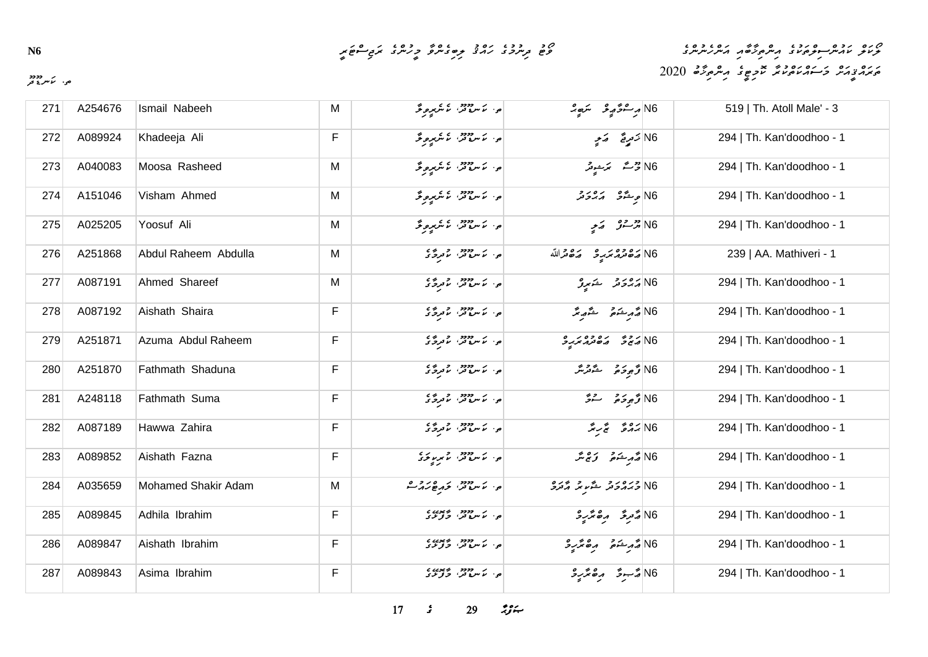*sCw7q7s5w7m< o<n9nOoAw7o< sCq;mAwBoEw7q<m; wBm;vB* م من المرة المرة المرة المرجع المرجع في المركبة 2020<br>مجم*د المريض المربوط المربع المرجع في المراجع المركبة* 

| 271 | A254676 | <b>Ismail Nabeeh</b>       | M            | ە ، ئاس دەرە ، ئامگىرى ئ                 | N6 م <i>رڪوڻو ۽ سَڪِ</i> رُ                          | 519   Th. Atoll Male' - 3 |
|-----|---------|----------------------------|--------------|------------------------------------------|------------------------------------------------------|---------------------------|
| 272 | A089924 | Khadeeja Ali               | F            | ە · ئاس دەھ ، ئامگىرى ئىگە               | N6 كَتَمَرِيحٌ – مَدَمٍّ –                           | 294   Th. Kan'doodhoo - 1 |
| 273 | A040083 | Moosa Rasheed              | M            | ە · ئاس دەدە ، ئامگىرى ئىگە              | N6 فخر محرسومتر                                      | 294   Th. Kan'doodhoo - 1 |
| 274 | A151046 | Visham Ahmed               | M            | ە · ئاسا ?? ئا ئاسىرە ئى                 | N6 مِشَرْح دَرْدَوْرَ                                | 294   Th. Kan'doodhoo - 1 |
| 275 | A025205 | Yoosuf Ali                 | M            | ە ئەس دەم ئەس ئەس ئەسىر ئەسىر ئەسىر ئە   | N6 پرتے تھ یہ                                        | 294   Th. Kan'doodhoo - 1 |
| 276 | A251868 | Abdul Raheem Abdulla       | M            | ه که دوود و ده و<br>د که سرد فراگلوری    | N6 <i>مَـُـهُ مَرْمُّ مَرِ</i> حْ مَـهُ مِّرَاللَّهُ | 239   AA. Mathiveri - 1   |
| 277 | A087191 | Ahmed Shareef              | M            | ه کامل دود و ده و                        | N6 كەردى ھەمبەتى                                     | 294   Th. Kan'doodhoo - 1 |
| 278 | A087192 | Aishath Shaira             | F            | ه کامودو و ده.<br>د کامونو لاتروی        | N6 مَّەرِسَىق شَّەرِ مََّ                            | 294   Th. Kan'doodhoo - 1 |
| 279 | A251871 | Azuma Abdul Raheem         | $\mathsf F$  | ه ۱۵ مترور در ۱۵<br>ام کامن فرانو تورد د | $3.2222222$ $-22210$                                 | 294   Th. Kan'doodhoo - 1 |
| 280 | A251870 | Fathmath Shaduna           | F            | ه کامل دود و ده و                        | N6 <i>وَّجِوَدَة</i> شَعْرَمَّرَ                     | 294   Th. Kan'doodhoo - 1 |
| 281 | A248118 | Fathmath Suma              | $\mathsf F$  | ه کامودو و ده.<br>د کامودگر، کامون       | N6 تۇم <sub>ب</sub> وخۇ سىمۇ                         | 294   Th. Kan'doodhoo - 1 |
| 282 | A087189 | Hawwa Zahira               | $\mathsf{F}$ | ه که دوده و ده و                         | N6 ئەيرقە ئىچ <i>رىت</i> ق                           | 294   Th. Kan'doodhoo - 1 |
| 283 | A089852 | Aishath Fazna              | $\mathsf F$  | ه ، ئاس دودو ، ئامبر پولوی               | N6 م <i>ەمبىشى زېمىگ</i> ە                           | 294   Th. Kan'doodhoo - 1 |
| 284 | A035659 | <b>Mohamed Shakir Adam</b> | M            | وسكس وووس كرم ورواه                      | N6 دُبَرُ جرى مَدَّمَ بِرَ مَرَ جَرَ وَ              | 294   Th. Kan'doodhoo - 1 |
| 285 | A089845 | Adhila Ibrahim             | $\mathsf F$  | د که دوده په دون<br>د کامل ترک و تولاد   | N6 مَّمَرِمَّ مِـ صَمَّرٍ وَ                         | 294   Th. Kan'doodhoo - 1 |
| 286 | A089847 | Aishath Ibrahim            | F            | ە ئەس 377°، ئەيدە 2<br>مەن ئەس ئەر كۆلۈك | N6 مَّ مِ شَمَّ مِهْ مَّرْرِ \$                      | 294   Th. Kan'doodhoo - 1 |
| 287 | A089843 | Asima Ibrahim              | F            | ر دودو په دون<br>مي توسع تر، ترتو نړۍ    | N6 مَّ سِوَّ مِنْ مَحْرَبِ 2                         | 294   Th. Kan'doodhoo - 1 |

*17 sC 29 nNw?mS*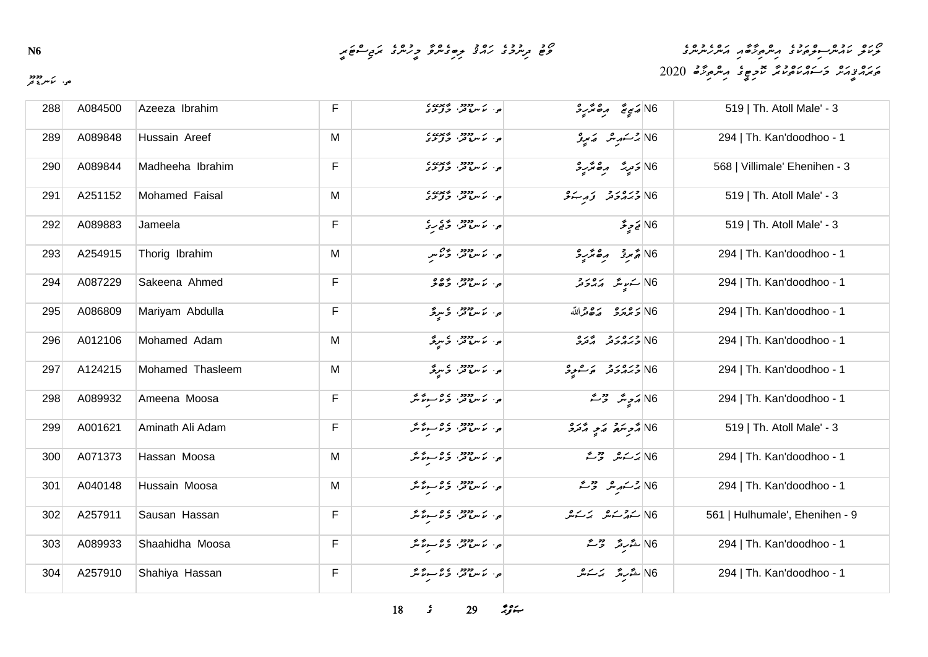*sCw7q7s5w7m< o<n9nOoAw7o< sCq;mAwBoEw7q<m; wBm;vB* م من المرة المرة المرة المرجع المرجع في المركبة 2020<br>مجم*د المريض المربوط المربع المرجع في المراجع المركبة* 

| 288 | A084500 | Azeeza Ibrahim   | F | ه که دوود محودی و<br>م که کرد و ترکوک | N6 <i>مَيِيٌّ مِ</i> صُنَّ <i>رٍ وَ</i>                   | 519   Th. Atoll Male' - 3      |
|-----|---------|------------------|---|---------------------------------------|-----------------------------------------------------------|--------------------------------|
| 289 | A089848 | Hussain Areef    | M | ه کردود محمدی<br>ه کاملاترا ژولر      | N6 پرستمبر مگر مربورگر                                    | 294   Th. Kan'doodhoo - 1      |
| 290 | A089844 | Madheeha Ibrahim | F | ه کردود محدی و<br>ه کاس تراکزی        | N6 ك <sup>ۆ</sup> تېرن <sup>ى</sup> مەھ ئ <sup>ې</sup> رى | 568   Villimale' Ehenihen - 3  |
| 291 | A251152 | Mohamed Faisal   | M | ه کردود محمدی<br>م کامری کروگر        | N6 3222 توم بدكتر                                         | 519   Th. Atoll Male' - 3      |
| 292 | A089883 | Jameela          | F | ه ، کاس دود.<br>ه ، کاس فرا، گرفتاری  | N6 تح وٍ تَح                                              | 519   Th. Atoll Male' - 3      |
| 293 | A254915 | Thorig Ibrahim   | M | ه ، با سردود به ۵۶ سر                 | N6 جَمَعِيَّةُ مِنصَمَّعِيَّةُ                            | 294   Th. Kan'doodhoo - 1      |
| 294 | A087229 | Sakeena Ahmed    | F | ە ، ئەس بۇ ئەھ بۇ ھ                   | N6 سَرَبِيمَتْہ مَ <i>ج</i> دْحَةْر                       | 294   Th. Kan'doodhoo - 1      |
| 295 | A086809 | Mariyam Abdulla  | F | ە ئەسمەدە ئەسرىگە                     | N6 كريزة كامحالله                                         | 294   Th. Kan'doodhoo - 1      |
| 296 | A012106 | Mohamed Adam     | M | ە ئەس دەرە ئەسرىگە                    | N6 دېږونر گرنړو                                           | 294   Th. Kan'doodhoo - 1      |
| 297 | A124215 | Mohamed Thasleem | M | ە ئەس دەرە ئەسرىگە                    | N6 3 <i>3 2 3 3 مؤو</i> د                                 | 294   Th. Kan'doodhoo - 1      |
| 298 | A089932 | Ameena Moosa     | F | ە ئەسمەس كەسىمە ئەس                   | N6 كەربىگە قۇشگە                                          | 294   Th. Kan'doodhoo - 1      |
| 299 | A001621 | Aminath Ali Adam | F | ە ، ئەس دەرە بى ئەس ئىگە              | N6 <i>مَّحْمِسَمَّةَ مَعٍ مَ</i> تَرَدَّ                  | 519   Th. Atoll Male' - 3      |
| 300 | A071373 | Hassan Moosa     | M | ە ئىس دەس كەسلىرىنىگە                 | N6 پزشش مخرشہ                                             | 294   Th. Kan'doodhoo - 1      |
| 301 | A040148 | Hussain Moosa    | M | ه ، باس دود ، و با سونا مگر           | N6 پر شهر شده محمد شد                                     | 294   Th. Kan'doodhoo - 1      |
| 302 | A257911 | Sausan Hassan    | F | ه ، ئاس دود ، ولاستانگر               | N6 كەرجىقى ئەسكىلى                                        | 561   Hulhumale', Ehenihen - 9 |
| 303 | A089933 | Shaahidha Moosa  | F | ە ئەسەس كەسىدىكە ئە                   | N6 گھري <i>گ ڏ</i> ه                                      | 294   Th. Kan'doodhoo - 1      |
| 304 | A257910 | Shahiya Hassan   | F |                                       | N6 ڪريڙ برڪ <i>ي</i> ر                                    | 294   Th. Kan'doodhoo - 1      |

*18 s* 29 *i*<sub>s</sub> $\approx$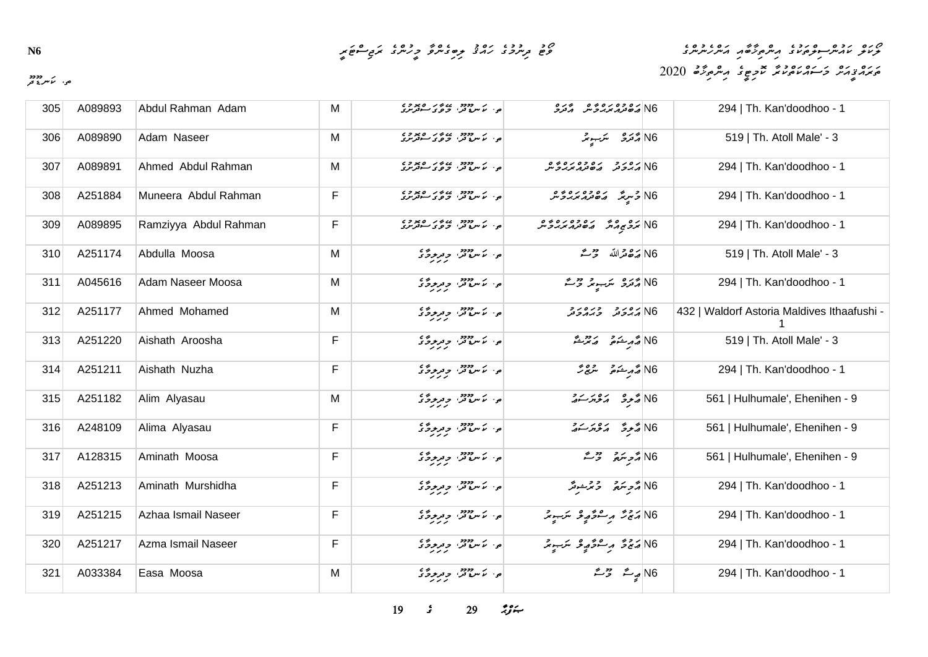*sCw7q7s5w7m< o<n9nOoAw7o< sCq;mAwBoEw7q<m; wBm;vB* م من المرة المرة المرة المرجع المرجع في المركبة 2020<br>مجم*د المريض المربوط المربع المرجع في المراجع المركبة* 

| 305 | A089893 | Abdul Rahman Adam     | M | ه ۱۰ میرود در ۲۶۵۵ و در ۲۵ میرون<br>در اما میرون افزار و مورد سوتورس | N6 رەمەرە ئەھرىر ئەرە                      | 294   Th. Kan'doodhoo - 1                   |
|-----|---------|-----------------------|---|----------------------------------------------------------------------|--------------------------------------------|---------------------------------------------|
| 306 | A089890 | Adam Naseer           | M | ر دوود در در ه بر د بار<br>می کاس کرا و و ی سوتر بری                 |                                            | 519   Th. Atoll Male' - 3                   |
| 307 | A089891 | Ahmed Abdul Rahman    | M | ر دودو در در ه برو د<br>د کامرو تر کرد که سوتر برد                   | N6 <i>ב. 25 - 25 ב. 2.2.5 م</i> ر          | 294   Th. Kan'doodhoo - 1                   |
| 308 | A251884 | Muneera Abdul Rahman  | F | ه کامودود در در ۲۶۵ ورو دارد.<br>در کامود ترکی از در در در           | N6 دُسِعَة مُصْرَمْ مُدَمَّرَة مَرْ        | 294   Th. Kan'doodhoo - 1                   |
| 309 | A089895 | Ramziyya Abdul Rahman | F | ه به مردود در در ۲۵ ورو د و د<br>ه به مکس ورا مرد و به مستقر سرو     | N6 <i>ترۋې مۇ مەھەرمەمدۇ</i> ش             | 294   Th. Kan'doodhoo - 1                   |
| 310 | A251174 | Abdulla Moosa         | M | ه ، کاس دوره و مرمرو کا                                              | N6 كَرْحْقْرْاللّه حْرْثْتْهْ              | 519   Th. Atoll Male' - 3                   |
| 311 | A045616 | Adam Naseer Moosa     | M | ه ۱۰ کاملاتی و تروژه                                                 | N6 جُعَدَ حَرَبٍ يَمْ حَرْمَتْهِ           | 294   Th. Kan'doodhoo - 1                   |
| 312 | A251177 | Ahmed Mohamed         | M | ه ، کاس دود. و مرود کا                                               | N6 كەبرى قە يەم دىر                        | 432   Waldorf Astoria Maldives Ithaafushi - |
| 313 | A251220 | Aishath Aroosha       | F | ه ، کاس دود.<br>مستعمل در دوروژی                                     | N6 مَّەرِ شَمَّةَ كَمَ تَمْرُ شَمَّ        | 519   Th. Atoll Male' - 3                   |
| 314 | A251211 | Aishath Nuzha         | F | ه ، ئاس دود. و مرموری                                                | N6 مَّەرِيْسَمَّ مِّرْجِرَ مِّ             | 294   Th. Kan'doodhoo - 1                   |
| 315 | A251182 | Alim Alyasau          | M | ه ، ئاس دود و برمروگا                                                | N6 مَّعِرْ - مَعْتَرَ - مَّ                | 561   Hulhumale', Ehenihen - 9              |
| 316 | A248109 | Alima Alyasau         | F | ه ، کاسخانس، دیروژگا<br>در کاسخانس، دیروژگا                          | N6 مَجْعِدً مَعْتَزَسَمَهُ                 | 561   Hulhumale', Ehenihen - 9              |
| 317 | A128315 | Aminath Moosa         | F | ه که دودو<br>ه کاس تر وترود د                                        | N6 مَّ مِسَعَمٍ حَمَّـَّةً                 | 561   Hulhumale', Ehenihen - 9              |
| 318 | A251213 | Aminath Murshidha     | F | ه ، ئاس دود.<br>مستوفق ومرودی                                        | N6 مَّ <i>وِ سَمَّة حَ مَّ</i> حْسِوْمَّرَ | 294   Th. Kan'doodhoo - 1                   |
| 319 | A251215 | Azhaa Ismail Naseer   | F | و ، ئاس دود. و مرمرو د                                               | N6 كەنج <sup>ە</sup> كەسكەم ئۇ سەيدىر      | 294   Th. Kan'doodhoo - 1                   |
| 320 | A251217 | Azma Ismail Naseer    | F | و ، كاس دون و مرورد كا                                               | N6 كەنجۇ ب <sub>و</sub> سۇگەيدى تىرىپونمى  | 294   Th. Kan'doodhoo - 1                   |
| 321 | A033384 | Easa Moosa            | M | ه ۱۰ کال ۱۳۶۲ و ترورونه<br>د ۱۰ کالري                                | N6 پرت حق                                  | 294   Th. Kan'doodhoo - 1                   |

*19 s* 29  $29$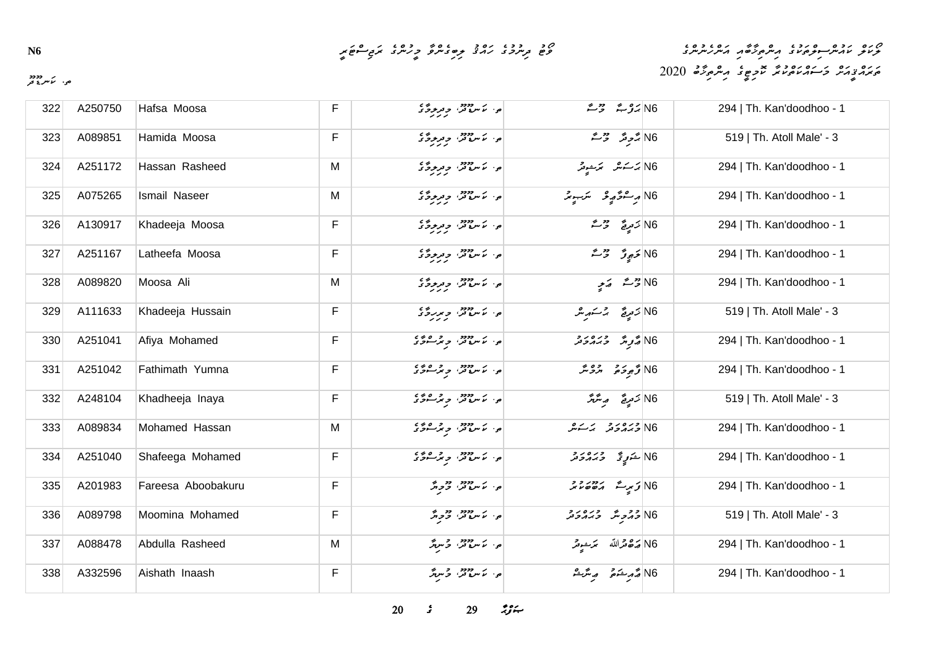*sCw7q7s5w7m< o<n9nOoAw7o< sCq;mAwBoEw7q<m; wBm;vB* م من المرة المرة المرة المرجع المرجع في المركبة 2020<br>مجم*د المريض المربوط المربع المرجع في المراجع المركبة* 

| 322 | A250750 | Hafsa Moosa          | F            | ه ۱۰ کال ۱۶۲۲ و ترورځ                  | N6 پَرُوْبَہٗ تَرْتَہٗ                | 294   Th. Kan'doodhoo - 1 |
|-----|---------|----------------------|--------------|----------------------------------------|---------------------------------------|---------------------------|
| 323 | A089851 | Hamida Moosa         | F            | ه ، کاس دود.<br>مستعمل از دوروژی       | N6 گەچەنگە قۇشگە                      | 519   Th. Atoll Male' - 3 |
| 324 | A251172 | Hassan Rasheed       | M            | ه ، کاس دوره و مروره د                 | N6 كەسكەنلەر كەش <u>و</u> تىر         | 294   Th. Kan'doodhoo - 1 |
| 325 | A075265 | <b>Ismail Naseer</b> | M            | ه ، کاس دوره و مروره د                 | N6 م <i>ې</i> شۇ مۇسىر ئىرىدىنى بىر   | 294   Th. Kan'doodhoo - 1 |
| 326 | A130917 | Khadeeja Moosa       | $\mathsf{F}$ | ه ، کاس دود.<br>۱۶ کاس فرانس و فرعرو ک | N6 كَتْرِيعٌ مَنْ شَرْحَتْ            | 294   Th. Kan'doodhoo - 1 |
| 327 | A251167 | Latheefa Moosa       | F            | ه ۱۰ کارودو و مرمروگر                  | N6 كَيْهِ وَ حَمْ شَمَّ               | 294   Th. Kan'doodhoo - 1 |
| 328 | A089820 | Moosa Ali            | M            | ه ، کاس دود.<br>مستعمل در دوروژی       | N6 چڪ چيو                             | 294   Th. Kan'doodhoo - 1 |
| 329 | A111633 | Khadeeja Hussain     | F            | ه ، ئاس دور ، و برروی                  | N6 كَتَعْرِيجٌ = شُرْسَمْ مِسْر       | 519   Th. Atoll Male' - 3 |
| 330 | A251041 | Afiya Mohamed        | F            | ه کامونه و مرده و                      | N6 مَّ <i>وِجُهُ حَمَدُهُ وَبَد</i> َ | 294   Th. Kan'doodhoo - 1 |
| 331 | A251042 | Fathimath Yumna      | $\mathsf F$  | ه کاملایی و برخور                      | N6 رَّج <i>وحَة مَ</i> حَسَّ          | 294   Th. Kan'doodhoo - 1 |
| 332 | A248104 | Khadheeja Inaya      | F            | ه که موجود و ۶۵ ور                     | N6 كَتَمِيعٌ مِسَمَّدٌ                | 519   Th. Atoll Male' - 3 |
| 333 | A089834 | Mohamed Hassan       | M            | ه کاملاتی ویژگوی                       | N6 <i>جەممى بىر يىتى</i> ر            | 294   Th. Kan'doodhoo - 1 |
| 334 | A251040 | Shafeega Mohamed     | $\mathsf F$  | ه کاملانی ویژگوی                       | N6 خ <i>ورتى تەشەرقى</i> ر            | 294   Th. Kan'doodhoo - 1 |
| 335 | A201983 | Fareesa Aboobakuru   | F            | ه کامرودو دو پر                        | N6 ئۇمېرىشق مەھقىمىتىر                | 294   Th. Kan'doodhoo - 1 |
| 336 | A089798 | Moomina Mohamed      | F            | ه کامرودو دو چ                         | N6 دُمَّ په دُمَّ دَمَدَ مَرَ         | 519   Th. Atoll Male' - 3 |
| 337 | A088478 | Abdulla Rasheed      | M            | ه کامرود در د                          | N6 كەڭدىراللە كەسىمىتىر               | 294   Th. Kan'doodhoo - 1 |
| 338 | A332596 | Aishath Inaash       | F            | ه ، ئاس دود و سرگر                     | N6 م <i>ەرىشقى م</i> وشرىشە           | 294   Th. Kan'doodhoo - 1 |

*20 sC 29 nNw?mS*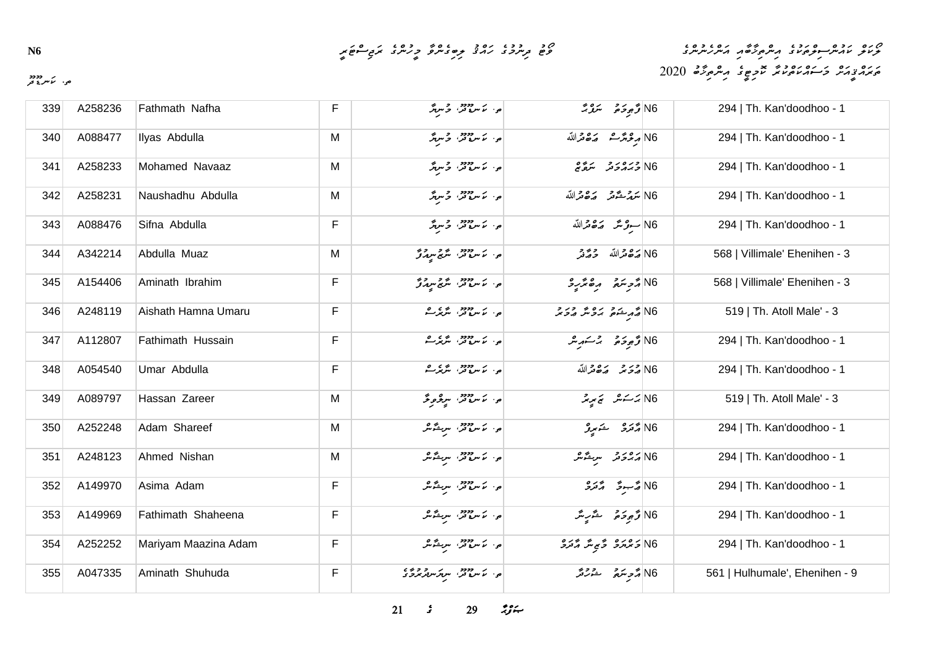*sCw7q7s5w7m< o<n9nOoAw7o< sCq;mAwBoEw7q<m; wBm;vB* م من المرة المرة المرة المرجع المرجع في المركبة 2020<br>مجم*د المريض المربوط المربع المرجع في المراجع المركبة* 

| 339 | A258236 | Fathmath Nafha       | F           | ە ، ئاس ? ئى ، ئى سر ئىل                          | N6 <i>وَّجِوَدَةْ</i> تَ <i>مَدْ</i> يَّ    | 294   Th. Kan'doodhoo - 1      |
|-----|---------|----------------------|-------------|---------------------------------------------------|---------------------------------------------|--------------------------------|
| 340 | A088477 | Ilyas Abdulla        | M           | ه کامرود و مرتز                                   | N6 مِعْتَمَرْ مَدَّةَ مِّدَاللَّه           | 294   Th. Kan'doodhoo - 1      |
| 341 | A258233 | Mohamed Navaaz       | M           | ه کاس دور د سرگر                                  | N6 <i>جنہ جو پر وہ</i>                      | 294   Th. Kan'doodhoo - 1      |
| 342 | A258231 | Naushadhu Abdulla    | M           | ه کاس دور و سرگر                                  | N6 <i>سَمَّدْ حَقَّة مَنْ هُ</i> قَرَاللَّه | 294   Th. Kan'doodhoo - 1      |
| 343 | A088476 | Sifna Abdulla        | F           | ه کاس دور و سرگر                                  | N6 سِوْتَتَر 105مَّاللَّه                   | 294   Th. Kan'doodhoo - 1      |
| 344 | A342214 | Abdulla Muaz         | M           | ە · ئاس <sup>252</sup> ، ئىگە ئىر <i>م</i> ار     | N6 كَەشراللە ئەھمىنىر                       | 568   Villimale' Ehenihen - 3  |
| 345 | A154406 | Aminath Ibrahim      | F           | ە · ئاس <sup>252</sup> ، ئىگە ئىر <i>م</i> ار     | N6 مَّحِسَمَةَ مِنْ مَّرْبِةَ ۖ             | 568   Villimale' Ehenihen - 3  |
| 346 | A248119 | Aishath Hamna Umaru  | F           | ە ئەس دەر ئىرىگە ئى                               | N6 مەم شەھ بەۋىگە مەدىر                     | 519   Th. Atoll Male' - 3      |
| 347 | A112807 | Fathimath Hussain    | $\mathsf F$ | ە ئەس <sup>بەدى</sup> ئىگە ئ                      | N6 <i>وَّجِوَجَعْ بِرْسَمْهِيمْ</i>         | 294   Th. Kan'doodhoo - 1      |
| 348 | A054540 | Umar Abdulla         | $\mathsf F$ | ە ، ئەس تۇر، ئىگەرگ                               | N6 يرتر بر صورالله                          | 294   Th. Kan'doodhoo - 1      |
| 349 | A089797 | Hassan Zareer        | M           | ە ، ئاس ئۇن سرىگرىز گ                             | N6   پرسکرشر کا کامیریٹر                    | 519   Th. Atoll Male' - 3      |
| 350 | A252248 | Adam Shareef         | M           | ە ئەس دەم ئىرىشى بىر                              | N6 مُرْتَرَدُ شَ <sub>مَ</sub> بِرُدُ       | 294   Th. Kan'doodhoo - 1      |
| 351 | A248123 | Ahmed Nishan         | M           | ە ئەس 322 س شەك                                   | N6 كەبرى قىر سىيەتكەر                       | 294   Th. Kan'doodhoo - 1      |
| 352 | A149970 | Asima Adam           | F           | <sub>م</sub> . كوسرودوم<br> م. كوسروفر، سريشونكر  | N6 مَحْسِرةً مُحَمَّدً                      | 294   Th. Kan'doodhoo - 1      |
| 353 | A149969 | Fathimath Shaheena   | F           | ە ئەس دەم<br>مەن ئەس ئىرى ئىس ئىش                 | N6 زَّەپرىز ئەھمەت ئىچە ئىر                 | 294   Th. Kan'doodhoo - 1      |
| 354 | A252252 | Mariyam Maazina Adam | F           | ە ئەس 322 س ئىگەر                                 | N6 كەبۇر ئۇي ئەر ئەرد                       | 294   Th. Kan'doodhoo - 1      |
| 355 | A047335 | Aminath Shuhuda      | F           | ه ۱۰ کامل دودو .<br>د ۱۰ کامل کل امیلامل مولو د د | N6 مُرْحِ سَمْ مِنْ مِنْ مِنْ مِنْ مِنْ     | 561   Hulhumale', Ehenihen - 9 |

 $21$  *s*  $29$  *n***<sub>s</sub>**  $29$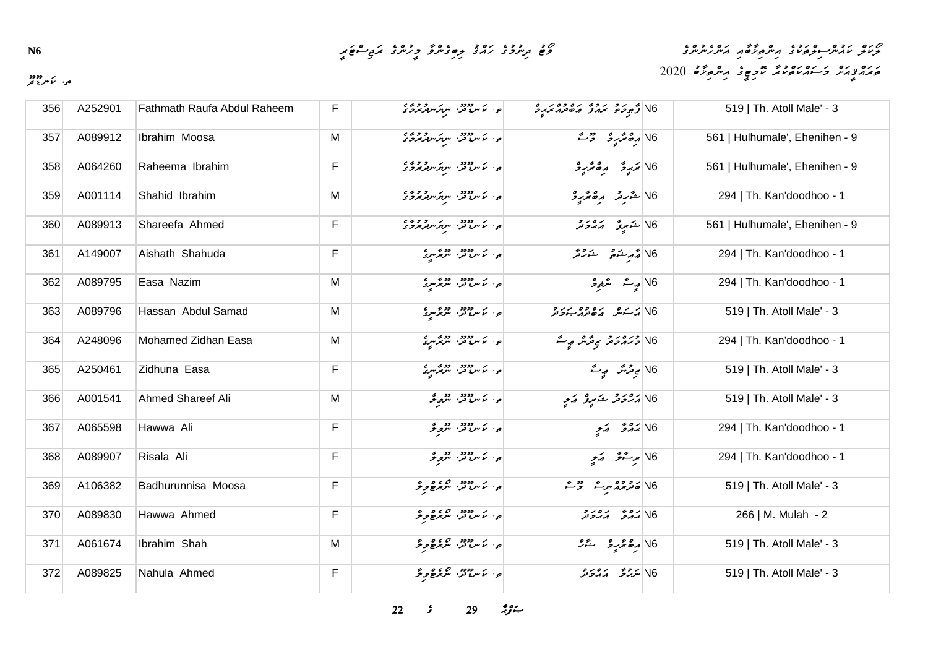*sCw7q7s5w7m< o<n9nOoAw7o< sCq;mAwBoEw7q<m; wBm;vB* م من المرة المرة المرة المرجع المرجع في المركبة 2020<br>مجم*د المريض المربوط المربع المرجع في المراجع المركبة* 

| 356 | A252901 | Fathmath Raufa Abdul Raheem | F            | ه کاس دود.<br>مستوفر، سرگرستر <i>مرد د</i>                                                                                                           | N6 ژَجِرَة بَرَة مُصْرَّرَ مُصَدَّرَ بَرَيْتِ | 519   Th. Atoll Male' - 3      |
|-----|---------|-----------------------------|--------------|------------------------------------------------------------------------------------------------------------------------------------------------------|-----------------------------------------------|--------------------------------|
| 357 | A089912 | Ibrahim Moosa               | M            | ه ۱۰ کمکس دودو .<br>د امکس دول استرس مرمز د د                                                                                                        | N6 بر <i>ەنڈر ۋ</i> تۆگ                       | 561   Hulhumale', Ehenihen - 9 |
| 358 | A064260 | Raheema Ibrahim             | $\mathsf{F}$ | ه کاس دود.<br>د کاس تر، سرگرس کرس                                                                                                                    | N6 بَرَبِ وَ مِنْ مِرْدِ وَ اللَّهِ مِنْ      | 561   Hulhumale', Ehenihen - 9 |
| 359 | A001114 | Shahid Ibrahim              | M            | ه کامل دود.<br>د کامل کل میرکس کرمرو ک                                                                                                               | N6 ڪريٽر ب <i>رھيڙپ</i> و                     | 294   Th. Kan'doodhoo - 1      |
| 360 | A089913 | Shareefa Ahmed              | F            | ه کامل دودو<br>ه کامل کل میلامل میکرمرون                                                                                                             | N6 ڪمپر <i>و پردون</i> ر                      | 561   Hulhumale', Ehenihen - 9 |
| 361 | A149007 | Aishath Shahuda             | F            | ە ، ئاس دەم دەم بىرى<br>مەس ئاس ئىرى بىر ئىرىگە بىرى                                                                                                 | N6 مَ <i>ذْمِرْ مِشْهُمْ</i> مُسْرَكْتُرْ     | 294   Th. Kan'doodhoo - 1      |
| 362 | A089795 | Easa Nazim                  | M            | ه ۱۰ متروفر دوره در د                                                                                                                                | N6 پرگ گھوٹر                                  | 294   Th. Kan'doodhoo - 1      |
| 363 | A089796 | Hassan Abdul Samad          | M            | ه ۱۶۲۶ وروسی در در در این محمد است.<br>در ۱۶۲۷ کال میلادی برابرد کرد برابرد که برابرد که برابرد که برابرد که برابرد که برابرد که برابرد که برابرد که | N6 ئەسەمىر ھەقىرە بەر دىر                     | 519   Th. Atoll Male' - 3      |
| 364 | A248096 | Mohamed Zidhan Easa         | M            | ه کامودور دوره د                                                                                                                                     | N6 دُبَرُهُ دَتَرٌ بِهِ مَّرْسٌ مِ بُ         | 294   Th. Kan'doodhoo - 1      |
| 365 | A250461 | Zidhuna Easa                | $\mathsf F$  | ه ۱۰ متروفر دوره در                                                                                                                                  | N6 بوش <i>رنگر پو</i> گ                       | 519   Th. Atoll Male' - 3      |
| 366 | A001541 | <b>Ahmed Shareef Ali</b>    | M            | ه ، ئاس دود ده ده چ                                                                                                                                  | N6 كەشكەقر خەمپەكى كەمپ                       | 519   Th. Atoll Male' - 3      |
| 367 | A065598 | Hawwa Ali                   | $\mathsf F$  | ە ، ئاس دەھ بەر ئە                                                                                                                                   | N6 پَرُوُگ کَرمِ                              | 294   Th. Kan'doodhoo - 1      |
| 368 | A089907 | Risala Ali                  | $\mathsf F$  | ە سىس دەرە بىرە ئىچ                                                                                                                                  | N6 مرسَّعَر صَعِ                              | 294   Th. Kan'doodhoo - 1      |
| 369 | A106382 | Badhurunnisa Moosa          | $\mathsf{F}$ | وبالمستعمر المتحدة وتحريج                                                                                                                            | N6 كەندىرە مىرىگە بىق 2                       | 519   Th. Atoll Male' - 3      |
| 370 | A089830 | Hawwa Ahmed                 | $\mathsf F$  | وسأستعمل سيرهون                                                                                                                                      | N6 يَرْمُوَّ كَمَدْحَمْدِ                     | 266   M. Mulah - 2             |
| 371 | A061674 | Ibrahim Shah                | M            | وسأستعمل سيرهون                                                                                                                                      | N6 ر <i>ەپزى</i> رو شى                        | 519   Th. Atoll Male' - 3      |
| 372 | A089825 | Nahula Ahmed                | F            | وبالمستعمر المروج وتحر                                                                                                                               | N6 يَرْرُقُ - بَرْرُوَتْر                     | 519   Th. Atoll Male' - 3      |

 $22$  *s*  $29$   $29$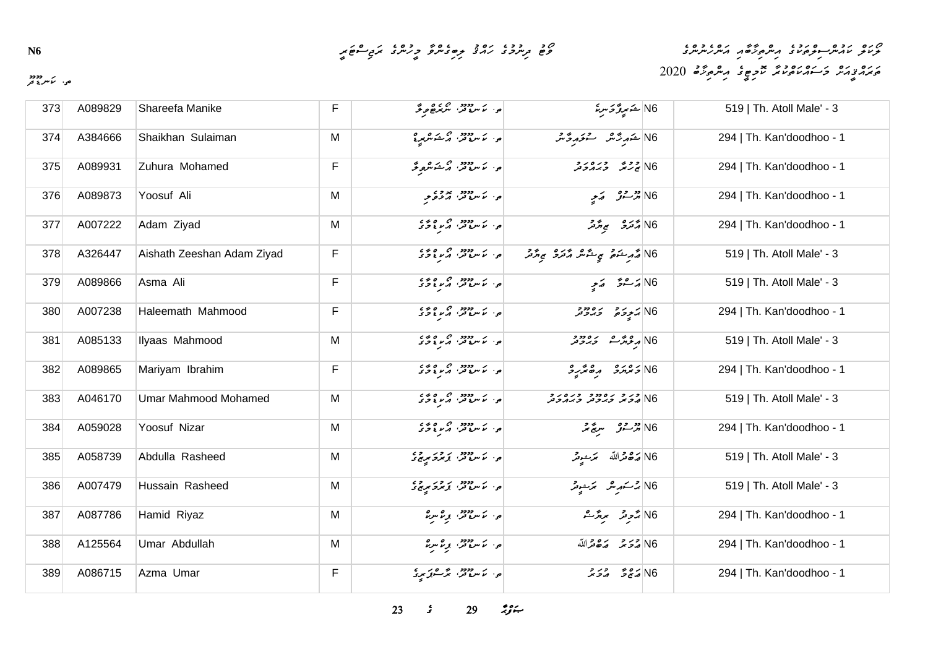*sCw7q7s5w7m< o<n9nOoAw7o< sCq;mAwBoEw7q<m; wBm;vB* م من المرة المرة المرة المرجع المرجع في المركبة 2020<br>مجم*د المريض المربوط المربع المرجع في المراجع المركبة* 

| 373 | A089829 | Shareefa Manike             | $\mathsf{F}$ | ە ، ئەس دەھ مىم ھەم گ                                                                                                                                                                                                                                                                                                      | N6 ڪمپوگري سريمبر                      | 519   Th. Atoll Male' - 3 |
|-----|---------|-----------------------------|--------------|----------------------------------------------------------------------------------------------------------------------------------------------------------------------------------------------------------------------------------------------------------------------------------------------------------------------------|----------------------------------------|---------------------------|
| 374 | A384666 | Shaikhan Sulaiman           | M            | ە ، ئاس دودر، كەنت ئىرىمرى                                                                                                                                                                                                                                                                                                 | N6 خىرىد ئىر مەمۇرى ئىر                | 294   Th. Kan'doodhoo - 1 |
| 375 | A089931 | Zuhura Mohamed              | F            | ە · ئاس دەر مىگە ئىشە ئىرى ئى                                                                                                                                                                                                                                                                                              | N6 يُحرَّثُرُ وَبَرُودَوْرَ            | 294   Th. Kan'doodhoo - 1 |
| 376 | A089873 | Yoosuf Ali                  | M            | ه کامودود بروی                                                                                                                                                                                                                                                                                                             | N6 پر قریبر کر <sub>یجی</sub>          | 294   Th. Kan'doodhoo - 1 |
| 377 | A007222 | Adam Ziyad                  | M            |                                                                                                                                                                                                                                                                                                                            | N6 گەترىۋ بېرگە <i>ت</i> ر             | 294   Th. Kan'doodhoo - 1 |
| 378 | A326447 | Aishath Zeeshan Adam Ziyad  | $\mathsf F$  |                                                                                                                                                                                                                                                                                                                            |                                        | 519   Th. Atoll Male' - 3 |
| 379 | A089866 | Asma Ali                    | $\mathsf{F}$ | $\begin{array}{cc} 0 & 0 & 0 & 0 & 0 & 0 \\ 0 & 0 & 0 & 0 & 0 & 0 \\ 0 & 0 & 0 & 0 & 0 & 0 \\ 0 & 0 & 0 & 0 & 0 & 0 \\ 0 & 0 & 0 & 0 & 0 & 0 \\ 0 & 0 & 0 & 0 & 0 & 0 \\ 0 & 0 & 0 & 0 & 0 & 0 \\ 0 & 0 & 0 & 0 & 0 & 0 \\ 0 & 0 & 0 & 0 & 0 & 0 \\ 0 & 0 & 0 & 0 & 0 & 0 & 0 \\ 0 & 0 & 0 & 0 & 0 & 0 & 0 \\ 0 & 0 & 0 &$ | N6 پرکنگ کھیے                          | 519   Th. Atoll Male' - 3 |
| 380 | A007238 | Haleemath Mahmood           | F            | ه کامود ده ده ده د                                                                                                                                                                                                                                                                                                         | N6 يَجِوَمُوا وَيُرْوَمُوْ             | 294   Th. Kan'doodhoo - 1 |
| 381 | A085133 | Ilyaas Mahmood              | M            | $\begin{array}{cc} 1 & 0 & 0 & 0 & 0 \\ 0 & 0 & 0 & 0 & 0 \\ 0 & 0 & 0 & 0 & 0 \\ 0 & 0 & 0 & 0 & 0 \end{array}$                                                                                                                                                                                                           | N6 مەقەم ئەمەدە                        | 519   Th. Atoll Male' - 3 |
| 382 | A089865 | Mariyam Ibrahim             | F            | $\begin{array}{cc} 0 & 0 & 0 & 0 & 0 \\ 0 & 0 & 0 & 0 & 0 \\ 0 & 0 & 0 & 0 & 0 \\ 0 & 0 & 0 & 0 & 0 \end{array}$                                                                                                                                                                                                           |                                        | 294   Th. Kan'doodhoo - 1 |
| 383 | A046170 | <b>Umar Mahmood Mohamed</b> | M            |                                                                                                                                                                                                                                                                                                                            | N6 בכב כפיכת כבביבת                    | 519   Th. Atoll Male' - 3 |
| 384 | A059028 | Yoosuf Nizar                | M            | $\begin{array}{cc} 0 & 0 & 0 & 0 & 0 \\ 0 & 0 & 0 & 0 & 0 \\ 0 & 0 & 0 & 0 & 0 \end{array}$                                                                                                                                                                                                                                | N6 ترقيق سرچ تمر                       | 294   Th. Kan'doodhoo - 1 |
| 385 | A058739 | Abdulla Rasheed             | M            |                                                                                                                                                                                                                                                                                                                            | N6 كَدَهْتْرَاللَّهُ كَمَتْ مِثْرِتْرَ | 519   Th. Atoll Male' - 3 |
| 386 | A007479 | Hussain Rasheed             | M            | د که دودو د ور و د<br>د کاس فرانج مرد مربع د                                                                                                                                                                                                                                                                               | N6 پرسکوپٹر کرنے میٹر                  | 519   Th. Atoll Male' - 3 |
| 387 | A087786 | Hamid Riyaz                 | M            | ە ئەس دەر.<br>مەن ئاس قرىق بولماس                                                                                                                                                                                                                                                                                          | N6 تَرْحِ مَرْ سَمَّرْ مَسْ            | 294   Th. Kan'doodhoo - 1 |
| 388 | A125564 | Umar Abdullah               | M            | ە ، ئەس 33 بولامېرىكا                                                                                                                                                                                                                                                                                                      | N6 يُرْدَيْرُ بِرَصْوَرَاللّهِ         | 294   Th. Kan'doodhoo - 1 |
| 389 | A086715 | Azma Umar                   | F            | ه ۱۵ کمپروژه د ۱۵ کمپروژه کرد د کال این کلی این کلی این کلی این کلی این کلی این کلی این کلی این کلی این کلی ای<br>در این کلی این کلی این کلی این کلی این کلی این کلی این کلی این کلی این کلی این کلی این کلی این کلی این کلی این                                                                                           | $222 - 221$ N6                         | 294   Th. Kan'doodhoo - 1 |

*23 sC 29 nNw?mS*

*r*<br>مي. كيسر <u>و</u>د ود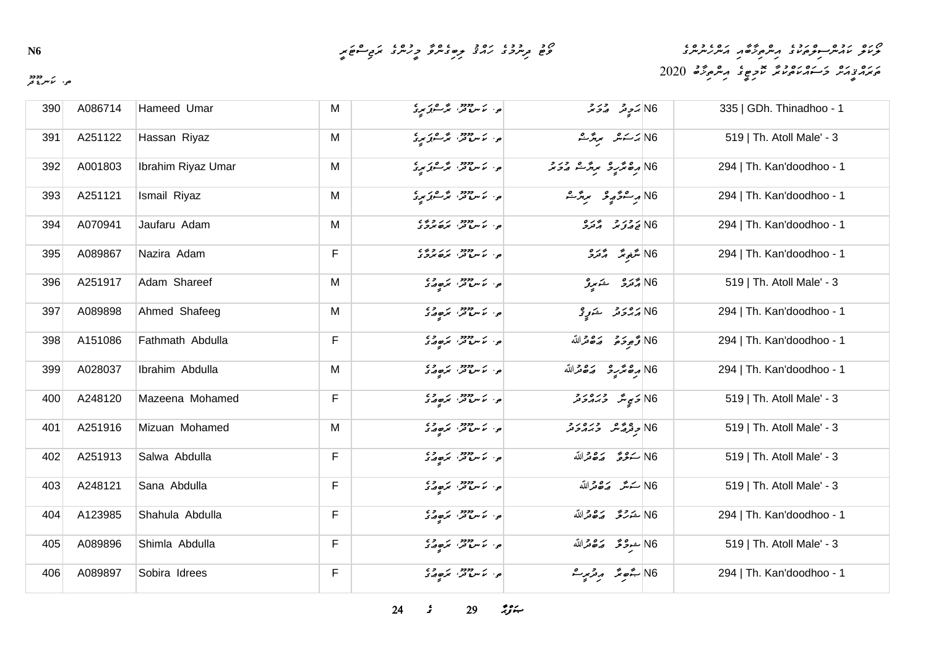*sCw7q7s5w7m< o<n9nOoAw7o< sCq;mAwBoEw7q<m; wBm;vB* م من المرة المرة المرة المرجع المرجع في المركبة 2020<br>مجم*د المريض المربوط المربع المرجع في المراجع المركبة* 

| 390 | A086714 | Hameed Umar        | M            | ە ، ئەسرەددە ، ئۇستۇرىيەد                                                                                                                                                                                                                                                                                           | N6 بَرْحٍ مِرْ مَرْدَ بْر                                                                           | 335   GDh. Thinadhoo - 1  |
|-----|---------|--------------------|--------------|---------------------------------------------------------------------------------------------------------------------------------------------------------------------------------------------------------------------------------------------------------------------------------------------------------------------|-----------------------------------------------------------------------------------------------------|---------------------------|
| 391 | A251122 | Hassan Riyaz       | M            | ە بە ئەس دەرىبى ئەس بولىدى.<br>مەن ئەس ئەس ئىر ئىس بولىدى.                                                                                                                                                                                                                                                          | N6 بَرسكر مریز ک                                                                                    | 519   Th. Atoll Male' - 3 |
| 392 | A001803 | Ibrahim Riyaz Umar | M            | ه ۱۵۶۶ می در در این<br>اما از موسوعی است بر میری                                                                                                                                                                                                                                                                    | N6 مەھمگەپى مومگەشى مەدىمە                                                                          | 294   Th. Kan'doodhoo - 1 |
| 393 | A251121 | Ismail Riyaz       | M            | ە بە ئەسىرە بەر ئەسىرى<br>مەسىرە ئىرا ئىرىكىزىدى                                                                                                                                                                                                                                                                    | N6 م <i>ې</i> شۇمۇ مېترىشە                                                                          | 294   Th. Kan'doodhoo - 1 |
| 394 | A070941 | Jaufaru Adam       | M            | $\begin{array}{cc} 0 & 0 & 0 & 0 & 0 & 0 \\ 0 & 0 & 0 & 0 & 0 & 0 \\ 0 & 0 & 0 & 0 & 0 & 0 \end{array}$                                                                                                                                                                                                             | $35.2$ $3.2$ $8$ $8$                                                                                | 294   Th. Kan'doodhoo - 1 |
| 395 | A089867 | Nazira Adam        | F            | $\frac{1}{2}$ $\frac{1}{2}$ $\frac{1}{2}$ $\frac{1}{2}$ $\frac{1}{2}$ $\frac{1}{2}$ $\frac{1}{2}$ $\frac{1}{2}$ $\frac{1}{2}$ $\frac{1}{2}$ $\frac{1}{2}$ $\frac{1}{2}$ $\frac{1}{2}$ $\frac{1}{2}$ $\frac{1}{2}$ $\frac{1}{2}$ $\frac{1}{2}$ $\frac{1}{2}$ $\frac{1}{2}$ $\frac{1}{2}$ $\frac{1}{2}$ $\frac{1}{2}$ | N6 سَّمَعِ بَمَّہ مَحْتَمَرَّہُ ا                                                                   | 294   Th. Kan'doodhoo - 1 |
| 396 | A251917 | Adam Shareef       | M            | ه کاس دود مرکز وی                                                                                                                                                                                                                                                                                                   | N6 مَرْتَرَدُ شَ <sub>مَ</sub> بِرُدُ                                                               | 519   Th. Atoll Male' - 3 |
| 397 | A089898 | Ahmed Shafeeg      | M            | ם ואייעצעי תוסף                                                                                                                                                                                                                                                                                                     | N6 كەندى كىمى ئىكتىمى ئىچە ئىكتار ئىكتار ئىكتار ئىكتار ئىكتار ئىكتار ئىكتار ئىكتار ئىكتار ئىكتار ئى | 294   Th. Kan'doodhoo - 1 |
| 398 | A151086 | Fathmath Abdulla   | $\mathsf F$  |                                                                                                                                                                                                                                                                                                                     | N6 رَّجِ <i>وَدَة مَ</i> صْغَراللَّه                                                                | 294   Th. Kan'doodhoo - 1 |
| 399 | A028037 | Ibrahim Abdulla    | M            |                                                                                                                                                                                                                                                                                                                     | N6 م <i>ِ جُمَّرٍ وَ مَ</i> حَمَّاللَّه                                                             | 294   Th. Kan'doodhoo - 1 |
| 400 | A248120 | Mazeena Mohamed    | $\mathsf F$  |                                                                                                                                                                                                                                                                                                                     | N6 ك <i>ې پىگە قىمگە كە</i> ر                                                                       | 519   Th. Atoll Male' - 3 |
| 401 | A251916 | Mizuan Mohamed     | M            | ه کامل دود کرده وی                                                                                                                                                                                                                                                                                                  | N6 <i>جانرمہ شہر تاریخ</i><br>16 ج <i>انرمہ شہر تار</i>                                             | 519   Th. Atoll Male' - 3 |
| 402 | A251913 | Salwa Abdulla      | F            | $5.900 \times 10^{222}$                                                                                                                                                                                                                                                                                             | N6 كورة كانتقى الله                                                                                 | 519   Th. Atoll Male' - 3 |
| 403 | A248121 | Sana Abdulla       | $\mathsf{F}$ | ם ישיעיני תוסף                                                                                                                                                                                                                                                                                                      | N6 كەنگر كەھەقراللە                                                                                 | 519   Th. Atoll Male' - 3 |
| 404 | A123985 | Shahula Abdulla    | $\mathsf F$  | $\begin{array}{cc} 0.5 & 0.737 & 0.756 \\ 0.6 & 0.75 & 0.756 & 0.756 \end{array}$                                                                                                                                                                                                                                   | N6 خەرمۇ كەھەرللە                                                                                   | 294   Th. Kan'doodhoo - 1 |
| 405 | A089896 | Shimla Abdulla     | F            | $5.905$ $2.97$                                                                                                                                                                                                                                                                                                      | N6 جوء <i>5 مارة م</i> رالله                                                                        | 519   Th. Atoll Male' - 3 |
| 406 | A089897 | Sobira Idrees      | F            | ם ואייעיני תוספי                                                                                                                                                                                                                                                                                                    | N6 بەھ بۇ مەركىپە مى                                                                                | 294   Th. Kan'doodhoo - 1 |

*24 sC 29 nNw?mS*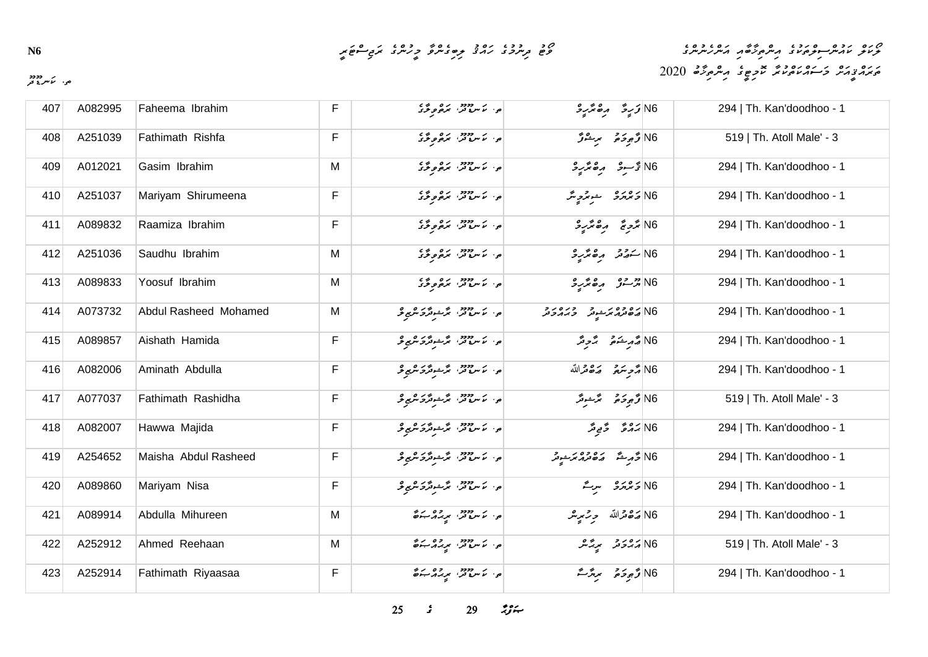*sCw7q7s5w7m< o<n9nOoAw7o< sCq;mAwBoEw7q<m; wBm;vB* م من المرة المرة المرة المرجع المرجع في المركبة 2020<br>مجم*د المريض المربوط المربع المرجع في المراجع المركبة* 

| 407 | A082995 | Faheema Ibrahim       | F            | ه ۱۰ کمبردود بره وگری                     | N6 دَرِدَ مِنْ مِرْدِدْ                     | 294   Th. Kan'doodhoo - 1 |
|-----|---------|-----------------------|--------------|-------------------------------------------|---------------------------------------------|---------------------------|
| 408 | A251039 | Fathimath Rishfa      | F            | ه ۱۰ متر دود.<br>۲۰ مترس از متره و محرک   | N6 ۇرىخە ئىم ئىسىمۇ                         | 519   Th. Atoll Male' - 3 |
| 409 | A012021 | Gasim Ibrahim         | M            | ه ، باس دود بره و و د                     | N6 تَخْسِعْ مِهْمَّدٍ وَ                    | 294   Th. Kan'doodhoo - 1 |
| 410 | A251037 | Mariyam Shirumeena    | F            | ه که ۱۶۶۴ ده وره<br>د که سالو تر مرد و څر | N6 كەنگە ئىر سىزىر ئىگە                     | 294   Th. Kan'doodhoo - 1 |
| 411 | A089832 | Raamiza Ibrahim       | F            | ه کامودود کره وی                          | N6 بَرْدِيَّ مِنْ مَحْرِدِدْ                | 294   Th. Kan'doodhoo - 1 |
| 412 | A251036 | Saudhu Ibrahim        | M            | ه ، ئاس دود بره و و د ،                   | N6 سَمَ <i>دُو م</i> ِ صَمَّرِ حَ           | 294   Th. Kan'doodhoo - 1 |
| 413 | A089833 | Yoosuf Ibrahim        | M            | ه که دودو کړه لوی.<br>د کاس تر مردوغ کړې  | N6 پر قسمز مرہ ٹربر مح                      | 294   Th. Kan'doodhoo - 1 |
| 414 | A073732 | Abdul Rasheed Mohamed | M            | ە ئەسمىدى ئىشى <i>ق</i> رىمى ئى           | N6 <i>ړەوه پرېغونز تېگەن</i> د              | 294   Th. Kan'doodhoo - 1 |
| 415 | A089857 | Aishath Hamida        | $\mathsf F$  | ى ئاس دەر ئېھىدىگەر شىي ئى                | N6 مَّەرِ شَمَّة مَّ تَرَمَّدَ              | 294   Th. Kan'doodhoo - 1 |
| 416 | A082006 | Aminath Abdulla       | $\mathsf{F}$ | ە ئەسرەدە ئەسەترىرىمى ئى                  | N6 مُرْحِ مَدَة مُرَكَّدَ اللَّهُ           | 294   Th. Kan'doodhoo - 1 |
| 417 | A077037 | Fathimath Rashidha    | $\mathsf{F}$ | ە ، ئاس دەھ ، ئۇرىشى ئۇرىسى ئى            | N6 رَّجِ دَمَ - مَرْسُومَّرُ                | 519   Th. Atoll Male' - 3 |
| 418 | A082007 | Hawwa Majida          | F            | ە ، ئاسلامۇ، ئۇسىرتەترىرىنى ئى            | N6 <i>بَدُمْدٌ</i> وَّمِعٌر                 | 294   Th. Kan'doodhoo - 1 |
| 419 | A254652 | Maisha Abdul Rasheed  | $\mathsf F$  | ە ، ئاسلامۇ، ئۇسىمەترىرىمى ئى             | N6 <i>جُهِيشُ مَ§وهِ مَرْ</i> شِي <i>دُ</i> | 294   Th. Kan'doodhoo - 1 |
| 420 | A089860 | Mariyam Nisa          | F            | ە ئەسرەدە ئەسەترەتىرى ئى                  | N6 كەبۇبۇ سىگ                               | 294   Th. Kan'doodhoo - 1 |
| 421 | A089914 | Abdulla Mihureen      | M            | ه کاملائل بربرو ده<br>ه کاملائل بربرو شخص | N6 كەھىراللە   موڭىرىگر                     | 294   Th. Kan'doodhoo - 1 |
| 422 | A252912 | Ahmed Reehaan         | M            | $6 - 22$                                  | N6 كەندى قىل س <sub>ى</sub> رىگىلى          | 519   Th. Atoll Male' - 3 |
| 423 | A252914 | Fathimath Riyaasaa    | F            | ه کاملائل بربرو ده<br>ه کاملائل بربرو شخص | N6 رَّجِوحَة مِتَرَسَّة                     | 294   Th. Kan'doodhoo - 1 |

 $25$  *s*  $29$   $29$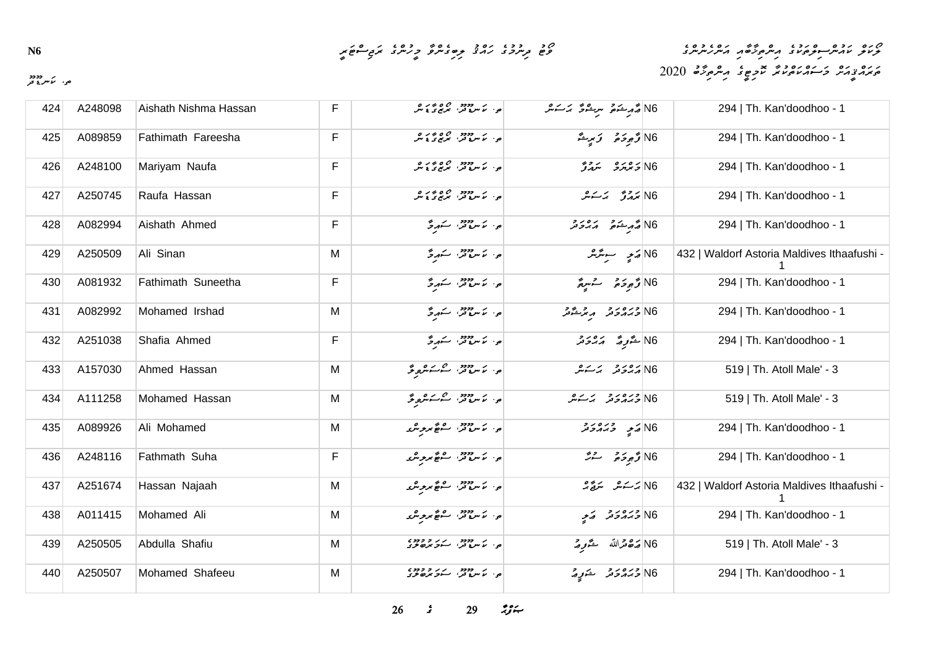*sCw7q7s5w7m< o<n9nOoAw7o< sCq;mAwBoEw7q<m; wBm;vB* م من المرة المرة المرة المرجع المرجع في المركبة 2020<br>مجم*د المريض المربوط المربع المرجع في المراجع المركبة* 

| 424 | A248098 | Aishath Nishma Hassan | F            | ە ئەس دەس بىرى ئەتەر<br>ئ                               | N6 گەرىشكى سرىشكى ئەسكىلى                       | 294   Th. Kan'doodhoo - 1                   |
|-----|---------|-----------------------|--------------|---------------------------------------------------------|-------------------------------------------------|---------------------------------------------|
| 425 | A089859 | Fathimath Fareesha    | $\mathsf{F}$ | ه سر دود ۵۵۵ وره<br>مسر سرد تر، سرچ د د سر              | N6 وَّجِرَة وَمِرِيَّة                          | 294   Th. Kan'doodhoo - 1                   |
| 426 | A248100 | Mariyam Naufa         | F            | ه که دوده ۵۵۵ ور<br>می که سروتس مربع کرونش              | N6 كاير برقم محمد تركيب                         | 294   Th. Kan'doodhoo - 1                   |
| 427 | A250745 | Raufa Hassan          | F            | ە ئەسىرە 200 كەرە                                       | N6 يَرْيَرُ بَرَ سَدَسْر                        | 294   Th. Kan'doodhoo - 1                   |
| 428 | A082994 | Aishath Ahmed         | F            | ە ئەس دەدە ئەرگە                                        | N6 <i>مَّەرِحَمَّة مَك</i> ْحَ <sup>م</sup> َّد | 294   Th. Kan'doodhoo - 1                   |
| 429 | A250509 | Ali Sinan             | M            | ە ، ئاسدىق سىدۇ                                         | N6 کے میں سوشریشر                               | 432   Waldorf Astoria Maldives Ithaafushi - |
| 430 | A081932 | Fathimath Suneetha    | F            | ە ، ئاس دەدە ، سەرىخ                                    | N6 رَّجِوحَة مَسْرِيَّة ِ                       | 294   Th. Kan'doodhoo - 1                   |
| 431 | A082992 | Mohamed Irshad        | M            | ه ، ئاس دود . كه د                                      | N6 دُبَرُودَ تَرَ مِبْرَسْتَمْتَر               | 294   Th. Kan'doodhoo - 1                   |
| 432 | A251038 | Shafia Ahmed          | $\mathsf F$  | ە ، ئاس دودو. ئىسر ئ                                    | N6 ش <i>ۇرۇ مەدە</i> تر                         | 294   Th. Kan'doodhoo - 1                   |
| 433 | A157030 | Ahmed Hassan          | M            | ى ئەستەتر، سەسەئىرە ئە                                  | N6 كەبرى كەر كەسكەنلەر                          | 519   Th. Atoll Male' - 3                   |
| 434 | A111258 | Mohamed Hassan        | M            | ى ئەستەتر، سەسەئىرە ئە                                  | N6 <i>وَبَرُوْدُوْ</i> بَرَسَةَ مَدْ            | 519   Th. Atoll Male' - 3                   |
| 435 | A089926 | Ali Mohamed           | M            | ە ، ئاس دەم ئاھۇمرىرىدى                                 | N6 كەير - ئەيرگە ئىر                            | 294   Th. Kan'doodhoo - 1                   |
| 436 | A248116 | Fathmath Suha         | F            | و ئاس دود ھي مرم مگر                                    | N6 رَّج <i>و حَمَّ</i> سُنَّہُ                  | 294   Th. Kan'doodhoo - 1                   |
| 437 | A251674 | Hassan Najaah         | M            | ە ، ئاس دەرە ئەھۋىر بولىرى                              | N6 پرسترش سَرَةَ بُرُ                           | 432   Waldorf Astoria Maldives Ithaafushi - |
| 438 | A011415 | Mohamed Ali           | M            | ە ، ئاس دەرە ئەھۋىر بولىرى                              | N6 يُرَمُّ يَوَ سَرِ                            | 294   Th. Kan'doodhoo - 1                   |
| 439 | A250505 | Abdulla Shafiu        | M            | ם מיתר בכבר המשיר בריכוז<br>ים מייעי בני אוריבי המשיר ב | N6 كەھەراللە مەد <i>ۇرگە</i>                    | 519   Th. Atoll Male' - 3                   |
| 440 | A250507 | Mohamed Shafeeu       | M            | ק ו מדבר גדוד ברבר.<br>ק וויעצעי הבינוסיב ב             | N6 3 <i>522 \$يور</i>                           | 294   Th. Kan'doodhoo - 1                   |

 $26$  *s*  $29$  *n***<sub>3</sub>** *n*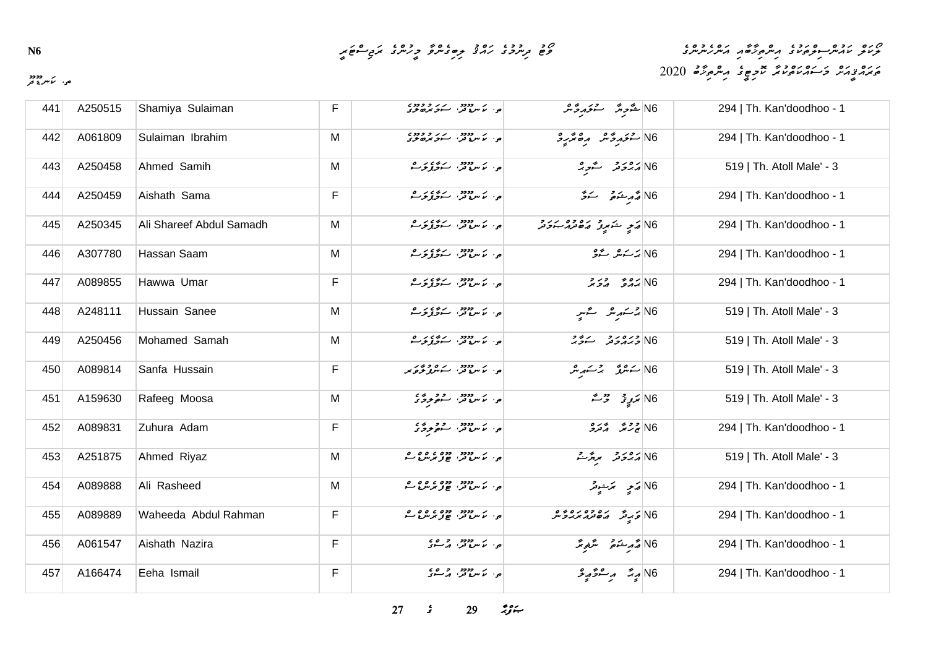*sCw7q7s5w7m< o<n9nOoAw7o< sCq;mAwBoEw7q<m; wBm;vB* م من المرة المرة المرة المرجع المرجع في المركبة 2020<br>مجم*د المريض المربوط المربع المرجع في المراجع المركبة* 

| 441 | A250515 | Shamiya Sulaiman         | F            | ם יש יש דרכם ודרכם ברכם ב                          | N6 ڪُر <i>ڊگر ڪوَرو</i> گر                | 294   Th. Kan'doodhoo - 1 |
|-----|---------|--------------------------|--------------|----------------------------------------------------|-------------------------------------------|---------------------------|
| 442 | A061809 | Sulaiman Ibrahim         | M            |                                                    | N6 جۇمۇمىر مەمگەر 2                       | 294   Th. Kan'doodhoo - 1 |
| 443 | A250458 | Ahmed Samih              | M            | ە ، ئاس دەر، سۇۋۇر شە                              | N6 كەبۇبى ئىم سىمبەر 2.                   | 519   Th. Atoll Male' - 3 |
| 444 | A250459 | Aishath Sama             | $\mathsf{F}$ | ە ، ئاس دەر بەر بۇرگ                               | N6 مَّەمِسْمَعْ سَدَّ                     | 294   Th. Kan'doodhoo - 1 |
| 445 | A250345 | Ali Shareef Abdul Samadh | M            | ە ئەس بۇي سۇزىر ھ                                  | N6 كەي شەيرۇ كەھەركە بەر د                | 294   Th. Kan'doodhoo - 1 |
| 446 | A307780 | Hassan Saam              | M            | ە ، ئەس دەر بەي بەر ھ                              | N6 پزشتر شرح                              | 294   Th. Kan'doodhoo - 1 |
| 447 | A089855 | Hawwa Umar               | F            | ە ، ئاس دەدە بەر ئەر ئ                             | $222$ $22$ $20$ $\sqrt{6}$                | 294   Th. Kan'doodhoo - 1 |
| 448 | A248111 | Hussain Sanee            | M            | ە ، ئاس دەپرى بەر ھ                                | N6 پرستمبر شر سٹہ پی <sub>ر</sub>         | 519   Th. Atoll Male' - 3 |
| 449 | A250456 | Mohamed Samah            | M            | ە · ئاس دەر بەردە بەر ھ                            | N6 322.2 كونير                            | 519   Th. Atoll Male' - 3 |
| 450 | A089814 | Sanfa Hussain            | F            | ە ، ئاس دەر بەرە دەر                               | N6 سَمَعَدٌ بِرْسَهِ مِرْ                 | 519   Th. Atoll Male' - 3 |
| 451 | A159630 | Rafeeg Moosa             | M            | ه که دود و و د د                                   | N6 بَرَرٍ تَنْ حَرْ گُ                    | 519   Th. Atoll Male' - 3 |
| 452 | A089831 | Zuhura Adam              | F            | ه کاملاتی مقوم دی                                  | N6ج 2 پھر محمد ترکھ کر ا                  | 294   Th. Kan'doodhoo - 1 |
| 453 | A251875 | Ahmed Riyaz              | M            |                                                    | N6 كەبرى كىمە ئىستىر ئىس                  | 519   Th. Atoll Male' - 3 |
| 454 | A089888 | Ali Rasheed              | M            | م کامن دور دوه ده وه می<br>می کامن فران طول مرس با | N6 كەمچە كىرىش <sub>و</sub> نتر           | 294   Th. Kan'doodhoo - 1 |
| 455 | A089889 | Waheeda Abdul Rahman     | $\mathsf F$  | م کردود دوه ده وه م                                | N6 <i>قبرىڭ مەھىرمىدى ئى</i> ر            | 294   Th. Kan'doodhoo - 1 |
| 456 | A061547 | Aishath Nazira           | F            | ە بە ئەس دەرە بى                                   | N6 مَەربىسَىم ئىستى <i>م</i> ىر           | 294   Th. Kan'doodhoo - 1 |
| 457 | A166474 | Eeha Ismail              | F            | ه که دودو و ۵ می                                   | N6 <sub>مي</sub> ته م <i>ي شوَّم</i> و مح | 294   Th. Kan'doodhoo - 1 |

*27 sC 29 nNw?mS*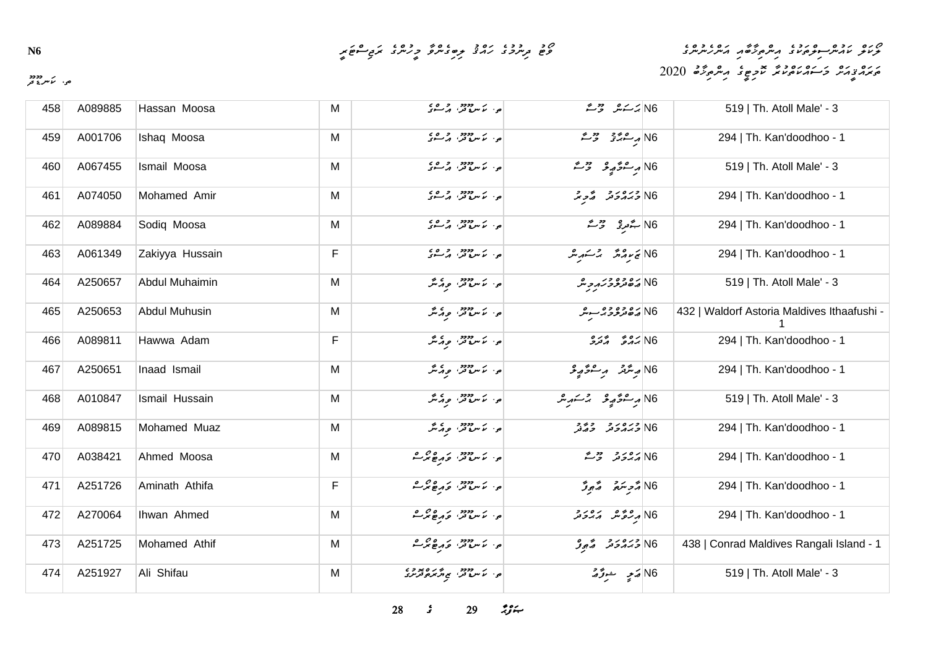*sCw7q7s5w7m< o<n9nOoAw7o< sCq;mAwBoEw7q<m; wBm;vB* م من المرة المرة المرة المرجع المرجع في المركبة 2020<br>مجم*د المريض المربوط المربع المرجع في المراجع المركبة* 

| 458 | A089885 | Hassan Moosa    | M | ه ، پاسخ قرار در دره پ                                     | N6 پرسکر ویں                     | 519   Th. Atoll Male' - 3                   |
|-----|---------|-----------------|---|------------------------------------------------------------|----------------------------------|---------------------------------------------|
| 459 | A001706 | Ishaq Moosa     | M | ە، ئەس دەپى بەر ب                                          | N6 م سكريخ محركته                | 294   Th. Kan'doodhoo - 1                   |
| 460 | A067455 | Ismail Moosa    | M | ە بە ئەس دەرە بەر<br>مەن ئەس ئەس بەر سەرى                  | N6 پرےوً <sub>پو</sub> ی وجے     | 519   Th. Atoll Male' - 3                   |
| 461 | A074050 | Mohamed Amir    | M | ە بە ئەس دەرە بەر دەرە بەر<br>مەن ئەس ئەس بەر بەر          | N6 <i>جُهُدُوَنَوْ</i> مُحَمَّدٍ | 294   Th. Kan'doodhoo - 1                   |
| 462 | A089884 | Sodiq Moosa     | M | $\begin{bmatrix} 0 & 2 & 222 \\ 0 & 0 & 0 \end{bmatrix}$   | N6 جنورپر مخرشہ                  | 294   Th. Kan'doodhoo - 1                   |
| 463 | A061349 | Zakiyya Hussain | F | ە بە ئەس دەرە بەر دەرە بەر<br>مەن ئەس ئەس بەر بەر          | N6 ىج <i>بىر م</i> ەشتەر مىشر    | 294   Th. Kan'doodhoo - 1                   |
| 464 | A250657 | Abdul Muhaimin  | M | ە ، ئەس <sup>ەددە</sup> بورگە                              | N6 كەھىرى <i>32 مې</i> رىر بىر   | 519   Th. Atoll Male' - 3                   |
| 465 | A250653 | Abdul Muhusin   | M | ه کامل دود ده کند                                          | N6 مەھىر بۇ ئەسىر بىر            | 432   Waldorf Astoria Maldives Ithaafushi - |
| 466 | A089811 | Hawwa Adam      | F | ه کمیون ورسی<br>مسافر استانس                               | N6 يَرْدُوَّ مَرْمَرْدُ          | 294   Th. Kan'doodhoo - 1                   |
| 467 | A250651 | Inaad Ismail    | M | ه کامل دود.<br>مستعمل استعمال است                          | N6 مِسَّمَّدَ مِسْوَّمِيْو       | 294   Th. Kan'doodhoo - 1                   |
| 468 | A010847 | Ismail Hussain  | M | ه کامل دوده در پارته<br>د کامل قرار مرد ش                  | N6 م <i>ېرىنى ۋە جىسكى</i> رىش   | 519   Th. Atoll Male' - 3                   |
| 469 | A089815 | Mohamed Muaz    | M | ه کامل دود.<br>مستعمل دوره به محمد میک                     | N6 <i>جُهُ جُهُدٌ</i> حَصَّفَرُ  | 294   Th. Kan'doodhoo - 1                   |
| 470 | A038421 | Ahmed Moosa     | M | ם ישיעיני פתפת                                             | $23.221$ N6                      | 294   Th. Kan'doodhoo - 1                   |
| 471 | A251726 | Aminath Athifa  | F | ם ישיעיני פוקסת                                            | N6 مَّحِسَمَةً مَّهْوَزَّ        | 294   Th. Kan'doodhoo - 1                   |
| 472 | A270064 | Ihwan Ahmed     | M | ם יי אייער בן פרים אליי                                    | N6 م <i>رِحدة مُدَوَ</i> مَّر    | 294   Th. Kan'doodhoo - 1                   |
| 473 | A251725 | Mohamed Athif   | M | ם יי אייער בן פרים אליי                                    | N6 3 <i>3 2 3 2 3 مربو</i> ر     | 438   Conrad Maldives Rangali Island - 1    |
| 474 | A251927 | Ali Shifau      | M | ه در ۱۶۶۲ در در ۲۵ ورو در ۲۵<br>در مرکس فرز میگریمره فرمزی | N6 كەمچ سىر <i>ۇ</i> ك           | 519   Th. Atoll Male' - 3                   |

*28 sC 29 nNw?mS*